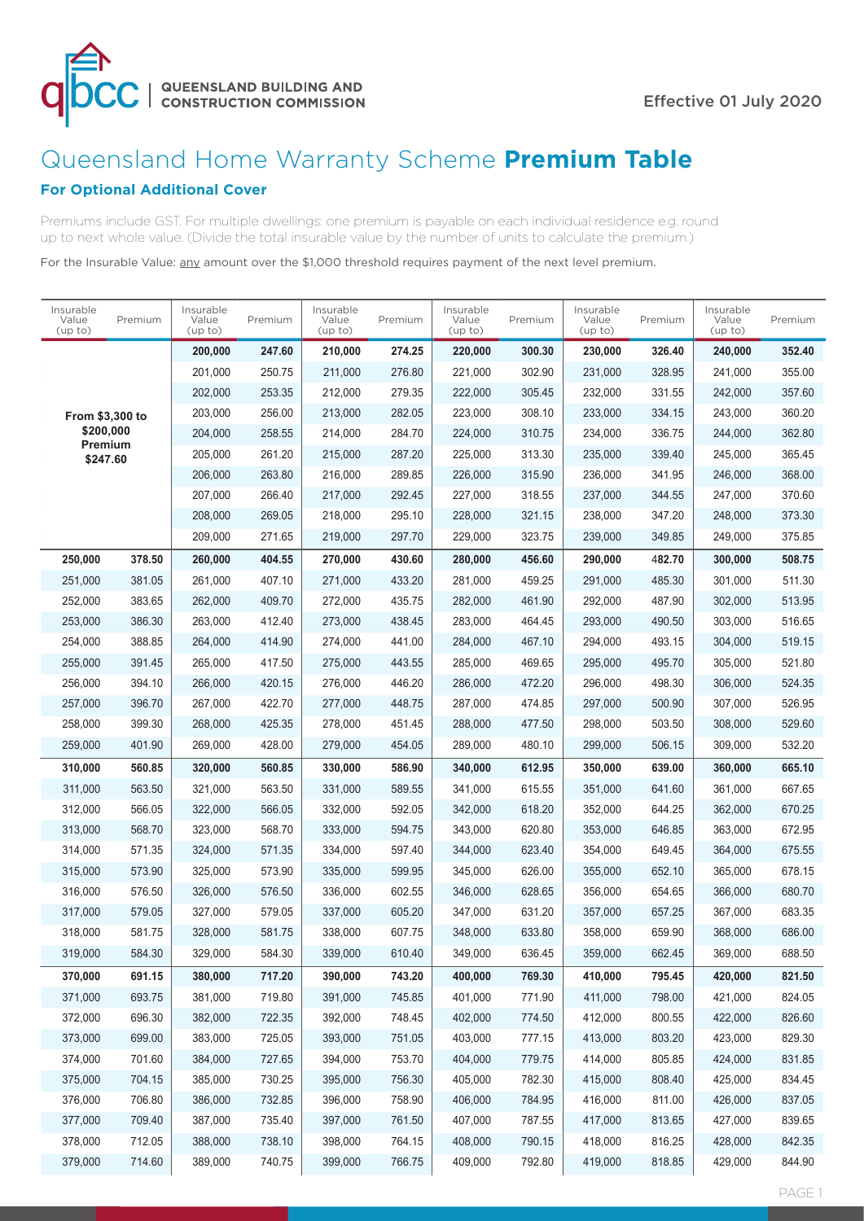

# Queensland Home Warranty Scheme **Premium Table**

# **For Optional Additional Cover**

Premiums include GST. For multiple dwellings: one premium is payable on each individual residence e.g. round up to next whole value. (Divide the total insurable value by the number of units to calculate the premium.)

For the Insurable Value: any amount over the \$1,000 threshold requires payment of the next level premium.

| Insurable<br>Value<br>(up to) | Premium | Insurable<br>Value<br>(up to) | Premium | Insurable<br>Value<br>(up to) | Premium | Insurable<br>Value<br>(up to) | Premium | Insurable<br>Value<br>(up to) | Premium | Insurable<br>Value<br>(up to) | Premium |
|-------------------------------|---------|-------------------------------|---------|-------------------------------|---------|-------------------------------|---------|-------------------------------|---------|-------------------------------|---------|
|                               |         | 200,000                       | 247.60  | 210,000                       | 274.25  | 220,000                       | 300.30  | 230,000                       | 326.40  | 240,000                       | 352.40  |
|                               |         | 201,000                       | 250.75  | 211,000                       | 276.80  | 221,000                       | 302.90  | 231,000                       | 328.95  | 241,000                       | 355.00  |
|                               |         | 202,000                       | 253.35  | 212,000                       | 279.35  | 222,000                       | 305.45  | 232,000                       | 331.55  | 242,000                       | 357.60  |
| From \$3,300 to               |         | 203,000                       | 256.00  | 213,000                       | 282.05  | 223,000                       | 308.10  | 233,000                       | 334.15  | 243,000                       | 360.20  |
| \$200,000<br>Premium          |         | 204,000                       | 258.55  | 214,000                       | 284.70  | 224,000                       | 310.75  | 234,000                       | 336.75  | 244,000                       | 362.80  |
| \$247.60                      |         | 205,000                       | 261.20  | 215,000                       | 287.20  | 225,000                       | 313.30  | 235,000                       | 339.40  | 245,000                       | 365.45  |
|                               |         | 206,000                       | 263.80  | 216,000                       | 289.85  | 226,000                       | 315.90  | 236,000                       | 341.95  | 246,000                       | 368.00  |
|                               |         | 207,000                       | 266.40  | 217,000                       | 292.45  | 227,000                       | 318.55  | 237,000                       | 344.55  | 247,000                       | 370.60  |
|                               |         | 208,000                       | 269.05  | 218,000                       | 295.10  | 228,000                       | 321.15  | 238,000                       | 347.20  | 248,000                       | 373.30  |
|                               |         | 209,000                       | 271.65  | 219,000                       | 297.70  | 229,000                       | 323.75  | 239,000                       | 349.85  | 249,000                       | 375.85  |
| 250,000                       | 378.50  | 260,000                       | 404.55  | 270,000                       | 430.60  | 280,000                       | 456.60  | 290,000                       | 482.70  | 300,000                       | 508.75  |
| 251,000                       | 381.05  | 261,000                       | 407.10  | 271,000                       | 433.20  | 281,000                       | 459.25  | 291,000                       | 485.30  | 301,000                       | 511.30  |
| 252,000                       | 383.65  | 262,000                       | 409.70  | 272,000                       | 435.75  | 282,000                       | 461.90  | 292,000                       | 487.90  | 302,000                       | 513.95  |
| 253,000                       | 386.30  | 263,000                       | 412.40  | 273,000                       | 438.45  | 283.000                       | 464.45  | 293,000                       | 490.50  | 303,000                       | 516.65  |
| 254,000                       | 388.85  | 264,000                       | 414.90  | 274,000                       | 441.00  | 284,000                       | 467.10  | 294,000                       | 493.15  | 304,000                       | 519.15  |
| 255,000                       | 391.45  | 265,000                       | 417.50  | 275,000                       | 443.55  | 285,000                       | 469.65  | 295,000                       | 495.70  | 305,000                       | 521.80  |
| 256,000                       | 394.10  | 266,000                       | 420.15  | 276,000                       | 446.20  | 286,000                       | 472.20  | 296,000                       | 498.30  | 306,000                       | 524.35  |
| 257,000                       | 396.70  | 267,000                       | 422.70  | 277,000                       | 448.75  | 287,000                       | 474.85  | 297,000                       | 500.90  | 307,000                       | 526.95  |
| 258,000                       | 399.30  | 268,000                       | 425.35  | 278,000                       | 451.45  | 288,000                       | 477.50  | 298,000                       | 503.50  | 308,000                       | 529.60  |
| 259,000                       | 401.90  | 269,000                       | 428.00  | 279,000                       | 454.05  | 289,000                       | 480.10  | 299,000                       | 506.15  | 309,000                       | 532.20  |
| 310,000                       | 560.85  | 320,000                       | 560.85  | 330,000                       | 586.90  | 340,000                       | 612.95  | 350,000                       | 639.00  | 360,000                       | 665.10  |
| 311,000                       | 563.50  | 321,000                       | 563.50  | 331,000                       | 589.55  | 341,000                       | 615.55  | 351,000                       | 641.60  | 361,000                       | 667.65  |
| 312,000                       | 566.05  | 322,000                       | 566.05  | 332,000                       | 592.05  | 342,000                       | 618.20  | 352,000                       | 644.25  | 362,000                       | 670.25  |
| 313,000                       | 568.70  | 323,000                       | 568.70  | 333,000                       | 594.75  | 343,000                       | 620.80  | 353,000                       | 646.85  | 363,000                       | 672.95  |
| 314,000                       | 571.35  | 324,000                       | 571.35  | 334,000                       | 597.40  | 344,000                       | 623.40  | 354,000                       | 649.45  | 364,000                       | 675.55  |
| 315,000                       | 573.90  | 325,000                       | 573.90  | 335,000                       | 599.95  | 345,000                       | 626.00  | 355,000                       | 652.10  | 365,000                       | 678.15  |
| 316,000                       | 576.50  | 326,000                       | 576.50  | 336,000                       | 602.55  | 346,000                       | 628.65  | 356,000                       | 654.65  | 366,000                       | 680.70  |
| 317,000                       | 579.05  | 327,000                       | 579.05  | 337,000                       | 605.20  | 347,000                       | 631.20  | 357,000                       | 657.25  | 367,000                       | 683.35  |
| 318,000                       | 581.75  | 328,000                       | 581.75  | 338,000                       | 607.75  | 348,000                       | 633.80  | 358,000                       | 659.90  | 368,000                       | 686.00  |
| 319,000                       | 584.30  | 329,000                       | 584.30  | 339,000                       | 610.40  | 349,000                       | 636.45  | 359,000                       | 662.45  | 369,000                       | 688.50  |
| 370,000                       | 691.15  | 380,000                       | 717.20  | 390,000                       | 743.20  | 400,000                       | 769.30  | 410,000                       | 795.45  | 420,000                       | 821.50  |
| 371,000                       | 693.75  | 381,000                       | 719.80  | 391,000                       | 745.85  | 401,000                       | 771.90  | 411,000                       | 798.00  | 421,000                       | 824.05  |
| 372,000                       | 696.30  | 382,000                       | 722.35  | 392,000                       | 748.45  | 402,000                       | 774.50  | 412,000                       | 800.55  | 422,000                       | 826.60  |
| 373,000                       | 699.00  | 383,000                       | 725.05  | 393,000                       | 751.05  | 403,000                       | 777.15  | 413,000                       | 803.20  | 423,000                       | 829.30  |
| 374,000                       | 701.60  | 384,000                       | 727.65  | 394,000                       | 753.70  | 404,000                       | 779.75  | 414,000                       | 805.85  | 424,000                       | 831.85  |
| 375,000                       | 704.15  | 385,000                       | 730.25  | 395,000                       | 756.30  | 405,000                       | 782.30  | 415,000                       | 808.40  | 425,000                       | 834.45  |
| 376,000                       | 706.80  | 386,000                       | 732.85  | 396,000                       | 758.90  | 406,000                       | 784.95  | 416,000                       | 811.00  | 426,000                       | 837.05  |
| 377,000                       | 709.40  | 387,000                       | 735.40  | 397,000                       | 761.50  | 407,000                       | 787.55  | 417,000                       | 813.65  | 427,000                       | 839.65  |
| 378,000                       | 712.05  | 388,000                       | 738.10  | 398,000                       | 764.15  | 408,000                       | 790.15  | 418,000                       | 816.25  | 428,000                       | 842.35  |
| 379,000                       | 714.60  | 389,000                       | 740.75  | 399,000                       | 766.75  | 409,000                       | 792.80  | 419,000                       | 818.85  | 429,000                       | 844.90  |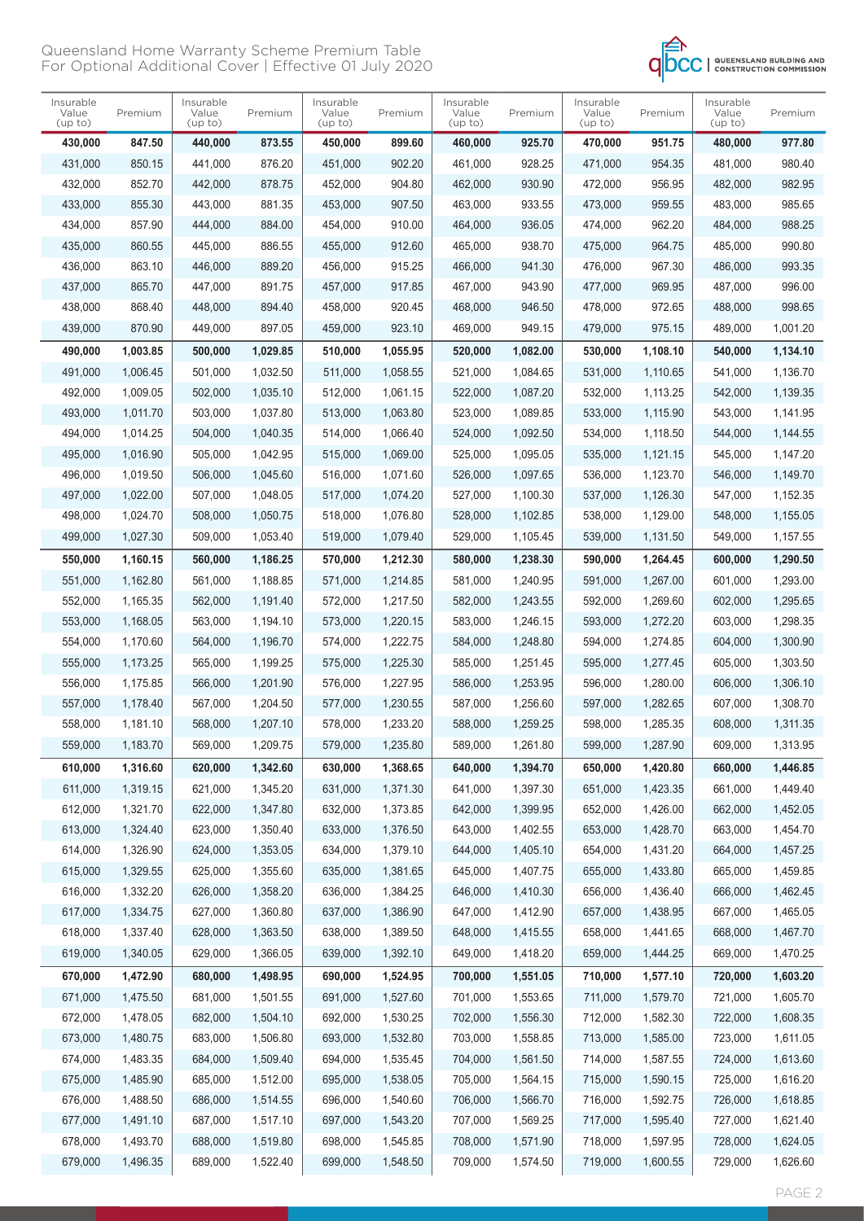

| 847.50<br>873.55<br>899.60<br>925.70<br>470,000<br>951.75<br>430,000<br>440,000<br>450,000<br>460,000           |         |          |
|-----------------------------------------------------------------------------------------------------------------|---------|----------|
|                                                                                                                 | 480,000 | 977.80   |
| 850.15<br>441,000<br>876.20<br>902.20<br>928.25<br>954.35<br>431,000<br>451,000<br>461,000<br>471,000           | 481,000 | 980.40   |
| 432,000<br>852.70<br>442,000<br>878.75<br>452,000<br>904.80<br>462,000<br>930.90<br>472,000<br>956.95           | 482,000 | 982.95   |
| 433,000<br>855.30<br>443,000<br>881.35<br>907.50<br>463,000<br>933.55<br>473,000<br>959.55<br>453,000           | 483,000 | 985.65   |
| 434,000<br>857.90<br>884.00<br>962.20<br>444,000<br>454,000<br>910.00<br>464,000<br>936.05<br>474,000           | 484,000 | 988.25   |
| 860.55<br>886.55<br>938.70<br>435,000<br>445,000<br>455,000<br>912.60<br>465,000<br>475,000<br>964.75           | 485,000 | 990.80   |
| 436,000<br>863.10<br>889.20<br>915.25<br>941.30<br>967.30<br>446,000<br>456.000<br>466,000<br>476,000           | 486,000 | 993.35   |
| 865.70<br>891.75<br>943.90<br>969.95<br>437,000<br>447,000<br>457,000<br>917.85<br>467,000<br>477,000           | 487,000 | 996.00   |
| 868.40<br>438,000<br>894.40<br>458,000<br>920.45<br>946.50<br>478,000<br>972.65<br>448,000<br>468,000           | 488,000 | 998.65   |
| 870.90<br>897.05<br>923.10<br>949.15<br>439,000<br>449,000<br>459,000<br>469,000<br>479,000<br>975.15           | 489,000 | 1,001.20 |
| 1,003.85<br>490,000<br>500,000<br>1,029.85<br>510,000<br>1,055.95<br>520,000<br>1,082.00<br>530,000<br>1,108.10 | 540,000 | 1,134.10 |
| 1,006.45<br>501,000<br>1,032.50<br>491,000<br>511,000<br>1,058.55<br>521,000<br>1,084.65<br>531,000<br>1,110.65 | 541,000 | 1,136.70 |
| 1,009.05<br>492,000<br>502,000<br>1,035.10<br>512,000<br>1.061.15<br>522,000<br>1.087.20<br>532,000<br>1,113.25 | 542,000 | 1,139.35 |
| 1,011.70<br>503,000<br>1,037.80<br>1,063.80<br>493,000<br>513.000<br>523,000<br>1,089.85<br>533,000<br>1,115.90 | 543,000 | 1,141.95 |
| 1,014.25<br>1,118.50<br>494,000<br>504,000<br>1,040.35<br>514,000<br>1,066.40<br>524,000<br>1,092.50<br>534,000 | 544,000 | 1,144.55 |
| 495,000<br>1,016.90<br>505,000<br>1,042.95<br>515,000<br>1,069.00<br>525,000<br>1,095.05<br>535,000<br>1,121.15 | 545,000 | 1,147.20 |
| 1,019.50<br>496,000<br>506,000<br>1,045.60<br>516,000<br>1.071.60<br>526,000<br>1,097.65<br>536,000<br>1,123.70 | 546,000 | 1,149.70 |
| 1,022.00<br>507,000<br>1,048.05<br>497,000<br>517,000<br>1,074.20<br>527,000<br>1,100.30<br>537,000<br>1,126.30 | 547,000 | 1,152.35 |
| 498,000<br>1,024.70<br>508,000<br>1,050.75<br>518,000<br>1,076.80<br>538,000<br>1,129.00<br>528,000<br>1,102.85 | 548,000 | 1,155.05 |
| 1,027.30<br>499,000<br>509,000<br>1,053.40<br>519,000<br>1,079.40<br>529,000<br>1,105.45<br>539,000<br>1,131.50 | 549,000 | 1,157.55 |
| 1,160.15<br>560,000<br>1,186.25<br>1,212.30<br>1,238.30<br>550,000<br>570,000<br>580,000<br>590,000<br>1,264.45 | 600,000 | 1,290.50 |
| 1,162.80<br>561,000<br>1,267.00<br>551,000<br>1,188.85<br>571,000<br>1,214.85<br>581,000<br>1,240.95<br>591,000 | 601,000 | 1,293.00 |
| 1,165.35<br>552,000<br>562,000<br>1,191.40<br>572,000<br>1,217.50<br>582,000<br>1,243.55<br>592,000<br>1,269.60 | 602,000 | 1,295.65 |
| 1,168.05<br>563,000<br>1,194.10<br>1,220.15<br>583,000<br>553,000<br>573,000<br>1,246.15<br>593,000<br>1,272.20 | 603,000 | 1,298.35 |
| 1,170.60<br>1,196.70<br>1,222.75<br>554,000<br>564,000<br>574,000<br>584,000<br>1,248.80<br>594,000<br>1,274.85 | 604,000 | 1,300.90 |
| 555,000<br>1,173.25<br>565,000<br>1,199.25<br>575,000<br>1,225.30<br>585,000<br>1,251.45<br>595,000<br>1,277.45 | 605,000 | 1,303.50 |
| 1,227.95<br>1,280.00<br>556,000<br>1,175.85<br>566,000<br>1,201.90<br>576,000<br>586,000<br>1,253.95<br>596,000 | 606,000 | 1,306.10 |
| 557,000<br>1,178.40<br>567,000<br>1,204.50<br>577,000<br>1,230.55<br>587,000<br>1,256.60<br>597,000<br>1,282.65 | 607,000 | 1,308.70 |
| 558,000<br>1,181.10<br>1,207.10<br>1,233.20<br>1.285.35<br>568,000<br>578,000<br>588,000<br>1,259.25<br>598,000 | 608,000 | 1,311.35 |
| 559,000<br>1,183.70<br>569,000<br>589,000<br>1,209.75<br>579,000<br>1,235.80<br>599,000<br>1,287.90<br>1,261.80 | 609,000 | 1,313.95 |
| 610,000<br>1,316.60<br>630,000<br>1,368.65<br>650,000<br>1,420.80<br>620,000<br>1,342.60<br>640,000<br>1,394.70 | 660,000 | 1,446.85 |
| 1,319.15<br>611,000<br>621,000<br>1,345.20<br>631,000<br>1,371.30<br>641,000<br>1,397.30<br>651,000<br>1,423.35 | 661,000 | 1,449.40 |
| 612,000<br>1,321.70<br>622,000<br>1,347.80<br>632,000<br>1,373.85<br>642,000<br>1,399.95<br>652,000<br>1,426.00 | 662,000 | 1,452.05 |
| 613,000<br>1,324.40<br>623,000<br>1,350.40<br>633,000<br>1,376.50<br>643,000<br>1,402.55<br>653,000<br>1,428.70 | 663,000 | 1,454.70 |
| 614,000<br>1,326.90<br>624,000<br>1,353.05<br>634,000<br>1,379.10<br>644,000<br>1,405.10<br>654,000<br>1,431.20 | 664,000 | 1,457.25 |
| 615,000<br>1,329.55<br>625,000<br>1,355.60<br>635,000<br>1,381.65<br>645,000<br>1,407.75<br>655,000<br>1,433.80 | 665,000 | 1,459.85 |
| 616,000<br>1,332.20<br>1,384.25<br>1,436.40<br>626,000<br>1,358.20<br>636,000<br>646,000<br>1,410.30<br>656,000 | 666,000 | 1,462.45 |
| 617,000<br>1,334.75<br>627,000<br>1,360.80<br>1,386.90<br>647,000<br>1,412.90<br>657,000<br>1,438.95<br>637,000 | 667,000 | 1,465.05 |
| 618,000<br>1,337.40<br>1,363.50<br>638,000<br>1,389.50<br>658,000<br>1,441.65<br>628,000<br>648,000<br>1,415.55 | 668,000 | 1,467.70 |
| 619,000<br>1,340.05<br>629,000<br>1,366.05<br>1,392.10<br>649,000<br>659,000<br>1,444.25<br>639,000<br>1,418.20 | 669,000 | 1,470.25 |
| 670,000<br>1,472.90<br>710,000<br>680,000<br>1,498.95<br>690,000<br>1,524.95<br>700,000<br>1,551.05<br>1,577.10 | 720,000 | 1,603.20 |
| 671,000<br>1,475.50<br>681,000<br>1,501.55<br>691,000<br>1,527.60<br>701,000<br>1,553.65<br>711,000<br>1,579.70 | 721,000 | 1,605.70 |
| 672,000<br>1,478.05<br>682,000<br>1,504.10<br>692,000<br>1,530.25<br>702,000<br>1,556.30<br>712,000<br>1,582.30 | 722,000 | 1,608.35 |
| 673,000<br>1,480.75<br>683,000<br>1,506.80<br>693,000<br>1,532.80<br>703,000<br>1,558.85<br>713,000<br>1,585.00 | 723,000 | 1,611.05 |
| 674,000<br>1,483.35<br>714,000<br>684,000<br>1,509.40<br>694,000<br>1,535.45<br>704,000<br>1,561.50<br>1,587.55 | 724,000 | 1,613.60 |
| 675,000<br>1,485.90<br>685,000<br>1,512.00<br>695,000<br>1,538.05<br>705,000<br>1,564.15<br>715,000<br>1,590.15 | 725,000 | 1,616.20 |
| 676,000<br>1,488.50<br>716,000<br>686,000<br>1,514.55<br>696,000<br>1,540.60<br>706,000<br>1,566.70<br>1,592.75 | 726,000 | 1,618.85 |
| 1,491.10<br>677,000<br>687,000<br>1,517.10<br>697,000<br>1,543.20<br>707,000<br>1,569.25<br>717,000<br>1,595.40 | 727,000 | 1,621.40 |
| 678,000<br>1,493.70<br>688,000<br>1,519.80<br>698,000<br>1,545.85<br>708,000<br>718,000<br>1,597.95<br>1,571.90 | 728,000 | 1,624.05 |
| 679,000<br>1,496.35<br>689,000<br>1,522.40<br>699,000<br>1,548.50<br>709,000<br>719,000<br>1,600.55<br>1,574.50 | 729,000 | 1,626.60 |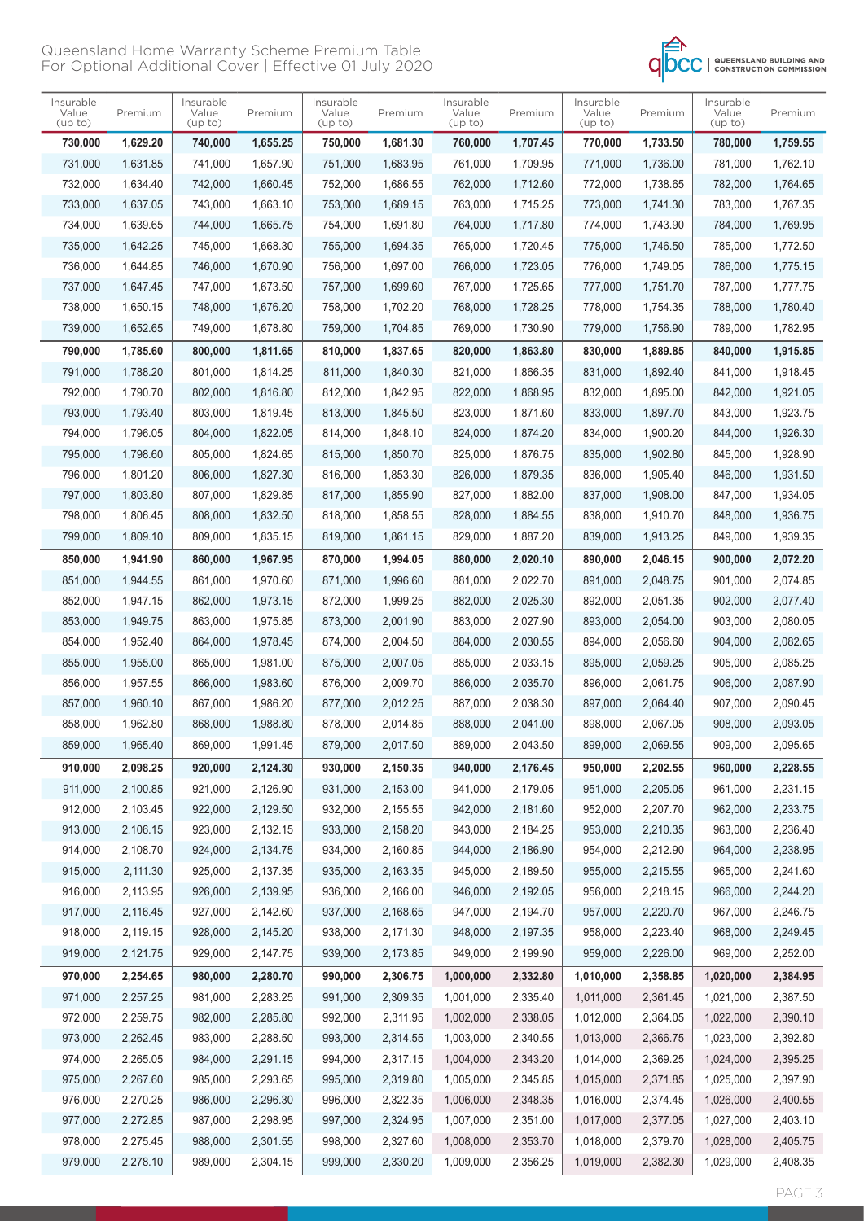

| Insurable<br>Value<br>(up to) | Premium  | Insurable<br>Value<br>(up to) | Premium  | Insurable<br>Value<br>(up to) | Premium  | Insurable<br>Value<br>(up to) | Premium  | Insurable<br>Value<br>(up to) | Premium  | Insurable<br>Value<br>(up to) | Premium  |
|-------------------------------|----------|-------------------------------|----------|-------------------------------|----------|-------------------------------|----------|-------------------------------|----------|-------------------------------|----------|
| 730,000                       | 1,629.20 | 740,000                       | 1,655.25 | 750,000                       | 1,681.30 | 760,000                       | 1,707.45 | 770,000                       | 1,733.50 | 780,000                       | 1,759.55 |
| 731,000                       | 1,631.85 | 741,000                       | 1,657.90 | 751,000                       | 1,683.95 | 761,000                       | 1,709.95 | 771,000                       | 1,736.00 | 781,000                       | 1,762.10 |
| 732,000                       | 1,634.40 | 742,000                       | 1,660.45 | 752,000                       | 1,686.55 | 762,000                       | 1,712.60 | 772,000                       | 1,738.65 | 782,000                       | 1,764.65 |
| 733,000                       | 1,637.05 | 743,000                       | 1,663.10 | 753,000                       | 1,689.15 | 763,000                       | 1,715.25 | 773,000                       | 1,741.30 | 783,000                       | 1,767.35 |
| 734,000                       | 1,639.65 | 744,000                       | 1,665.75 | 754,000                       | 1,691.80 | 764,000                       | 1,717.80 | 774,000                       | 1,743.90 | 784,000                       | 1,769.95 |
| 735,000                       | 1,642.25 | 745,000                       | 1,668.30 | 755,000                       | 1,694.35 | 765,000                       | 1,720.45 | 775.000                       | 1.746.50 | 785,000                       | 1,772.50 |
| 736,000                       | 1,644.85 | 746,000                       | 1,670.90 | 756,000                       | 1,697.00 | 766,000                       | 1,723.05 | 776.000                       | 1,749.05 | 786,000                       | 1,775.15 |
| 737,000                       | 1,647.45 | 747,000                       | 1.673.50 | 757,000                       | 1,699.60 | 767,000                       | 1,725.65 | 777,000                       | 1,751.70 | 787,000                       | 1,777.75 |
| 738,000                       | 1,650.15 | 748,000                       | 1,676.20 | 758,000                       | 1,702.20 | 768,000                       | 1,728.25 | 778,000                       | 1,754.35 | 788,000                       | 1,780.40 |
| 739,000                       | 1,652.65 | 749,000                       | 1,678.80 | 759,000                       | 1,704.85 | 769,000                       | 1,730.90 | 779,000                       | 1,756.90 | 789,000                       | 1,782.95 |
| 790,000                       | 1,785.60 | 800,000                       | 1,811.65 | 810,000                       | 1,837.65 | 820,000                       | 1,863.80 | 830,000                       | 1,889.85 | 840,000                       | 1,915.85 |
| 791.000                       | 1,788.20 | 801,000                       | 1,814.25 | 811,000                       | 1.840.30 | 821,000                       | 1,866.35 | 831.000                       | 1,892.40 | 841.000                       | 1.918.45 |
| 792,000                       | 1,790.70 | 802,000                       | 1,816.80 | 812,000                       | 1,842.95 | 822,000                       | 1,868.95 | 832,000                       | 1,895.00 | 842,000                       | 1,921.05 |
| 793,000                       | 1,793.40 | 803,000                       | 1,819.45 | 813,000                       | 1,845.50 | 823,000                       | 1,871.60 | 833,000                       | 1,897.70 | 843,000                       | 1,923.75 |
| 794,000                       | 1.796.05 | 804,000                       | 1,822.05 | 814,000                       | 1,848.10 | 824,000                       | 1,874.20 | 834,000                       | 1,900.20 | 844,000                       | 1,926.30 |
| 795,000                       | 1,798.60 | 805,000                       | 1,824.65 | 815,000                       | 1,850.70 | 825,000                       | 1.876.75 | 835,000                       | 1.902.80 | 845,000                       | 1,928.90 |
| 796,000                       | 1,801.20 | 806,000                       | 1,827.30 | 816,000                       | 1,853.30 | 826,000                       | 1,879.35 | 836,000                       | 1,905.40 | 846,000                       | 1,931.50 |
| 797,000                       | 1,803.80 | 807,000                       | 1,829.85 | 817,000                       | 1.855.90 | 827,000                       | 1,882.00 | 837,000                       | 1.908.00 | 847,000                       | 1,934.05 |
| 798,000                       | 1,806.45 | 808,000                       | 1,832.50 | 818,000                       | 1,858.55 | 828,000                       | 1,884.55 | 838,000                       | 1,910.70 | 848,000                       | 1,936.75 |
| 799,000                       | 1,809.10 | 809,000                       | 1,835.15 | 819,000                       | 1,861.15 | 829,000                       | 1,887.20 | 839,000                       | 1,913.25 | 849,000                       | 1,939.35 |
| 850,000                       | 1,941.90 | 860,000                       | 1,967.95 | 870,000                       | 1,994.05 | 880,000                       | 2,020.10 | 890,000                       | 2,046.15 | 900,000                       | 2,072.20 |
| 851,000                       | 1,944.55 | 861,000                       | 1,970.60 | 871,000                       | 1,996.60 | 881,000                       | 2,022.70 | 891,000                       | 2,048.75 | 901,000                       | 2,074.85 |
| 852,000                       | 1,947.15 | 862,000                       | 1,973.15 | 872,000                       | 1,999.25 | 882,000                       | 2,025.30 | 892,000                       | 2,051.35 | 902,000                       | 2,077.40 |
| 853,000                       | 1,949.75 | 863,000                       | 1,975.85 | 873,000                       | 2,001.90 | 883,000                       | 2,027.90 | 893,000                       | 2,054.00 | 903,000                       | 2,080.05 |
| 854,000                       | 1,952.40 | 864,000                       | 1,978.45 | 874,000                       | 2,004.50 | 884,000                       | 2,030.55 | 894,000                       | 2,056.60 | 904,000                       | 2,082.65 |
| 855,000                       | 1,955.00 | 865,000                       | 1,981.00 | 875,000                       | 2,007.05 | 885,000                       | 2,033.15 | 895,000                       | 2,059.25 | 905,000                       | 2,085.25 |
| 856,000                       | 1,957.55 | 866,000                       | 1,983.60 | 876,000                       | 2.009.70 | 886,000                       | 2,035.70 | 896.000                       | 2,061.75 | 906,000                       | 2,087.90 |
| 857,000                       | 1,960.10 | 867,000                       | 1,986.20 | 877,000                       | 2,012.25 | 887,000                       | 2,038.30 | 897,000                       | 2,064.40 | 907,000                       | 2,090.45 |
| 858,000                       | 1,962.80 | 868,000                       | 1,988.80 | 878,000                       | 2,014.85 | 888,000                       | 2,041.00 | 898,000                       | 2,067.05 | 908,000                       | 2,093.05 |
| 859,000                       | 1,965.40 | 869,000                       | 1,991.45 | 879,000                       | 2,017.50 | 889,000                       | 2,043.50 | 899,000                       | 2,069.55 | 909,000                       | 2,095.65 |
| 910,000                       | 2,098.25 | 920,000                       | 2,124.30 | 930,000                       | 2,150.35 | 940,000                       | 2,176.45 | 950,000                       | 2,202.55 | 960,000                       | 2,228.55 |
| 911,000                       | 2,100.85 | 921,000                       | 2,126.90 | 931,000                       | 2,153.00 | 941,000                       | 2,179.05 | 951,000                       | 2,205.05 | 961,000                       | 2,231.15 |
| 912,000                       | 2,103.45 | 922,000                       | 2,129.50 | 932,000                       | 2,155.55 | 942,000                       | 2,181.60 | 952,000                       | 2,207.70 | 962,000                       | 2,233.75 |
| 913,000                       | 2,106.15 | 923,000                       | 2,132.15 | 933,000                       | 2,158.20 | 943,000                       | 2,184.25 | 953,000                       | 2,210.35 | 963,000                       | 2,236.40 |
| 914,000                       | 2,108.70 | 924,000                       | 2,134.75 | 934,000                       | 2,160.85 | 944,000                       | 2,186.90 | 954,000                       | 2,212.90 | 964,000                       | 2,238.95 |
| 915,000                       | 2,111.30 | 925,000                       | 2,137.35 | 935,000                       | 2,163.35 | 945,000                       | 2,189.50 | 955,000                       | 2,215.55 | 965,000                       | 2,241.60 |
| 916,000                       | 2,113.95 | 926,000                       | 2,139.95 | 936,000                       | 2,166.00 | 946,000                       | 2,192.05 | 956,000                       | 2,218.15 | 966,000                       | 2,244.20 |
| 917,000                       | 2,116.45 | 927,000                       | 2,142.60 | 937,000                       | 2,168.65 | 947,000                       | 2,194.70 | 957,000                       | 2,220.70 | 967,000                       | 2,246.75 |
| 918,000                       | 2,119.15 | 928,000                       | 2,145.20 | 938,000                       | 2,171.30 | 948,000                       | 2,197.35 | 958,000                       | 2,223.40 | 968,000                       | 2,249.45 |
| 919,000                       | 2,121.75 | 929,000                       | 2,147.75 | 939,000                       | 2,173.85 | 949,000                       | 2,199.90 | 959,000                       | 2,226.00 | 969,000                       | 2,252.00 |
| 970,000                       | 2,254.65 | 980,000                       | 2,280.70 | 990,000                       | 2,306.75 | 1,000,000                     | 2,332.80 | 1,010,000                     | 2,358.85 | 1,020,000                     | 2,384.95 |
| 971,000                       | 2,257.25 | 981,000                       | 2,283.25 | 991,000                       | 2,309.35 | 1,001,000                     | 2,335.40 | 1,011,000                     | 2,361.45 | 1,021,000                     | 2,387.50 |
| 972,000                       | 2,259.75 | 982,000                       | 2,285.80 | 992,000                       | 2,311.95 | 1,002,000                     | 2,338.05 | 1,012,000                     | 2,364.05 | 1,022,000                     | 2,390.10 |
| 973,000                       | 2,262.45 | 983,000                       | 2,288.50 | 993,000                       | 2,314.55 | 1,003,000                     | 2,340.55 | 1,013,000                     | 2,366.75 | 1,023,000                     | 2,392.80 |
| 974,000                       | 2,265.05 | 984,000                       | 2,291.15 | 994,000                       | 2,317.15 | 1,004,000                     | 2,343.20 | 1,014,000                     | 2,369.25 | 1,024,000                     | 2,395.25 |
| 975,000                       | 2,267.60 | 985,000                       | 2,293.65 | 995,000                       | 2,319.80 | 1,005,000                     | 2,345.85 | 1,015,000                     | 2,371.85 | 1,025,000                     | 2,397.90 |
| 976,000                       | 2,270.25 | 986,000                       | 2,296.30 | 996,000                       | 2,322.35 | 1,006,000                     | 2,348.35 | 1,016,000                     | 2,374.45 | 1,026,000                     | 2,400.55 |
| 977,000                       | 2,272.85 | 987,000                       | 2,298.95 | 997,000                       | 2,324.95 | 1,007,000                     | 2,351.00 | 1,017,000                     | 2,377.05 | 1,027,000                     | 2,403.10 |
| 978,000                       | 2,275.45 | 988,000                       | 2,301.55 | 998,000                       | 2,327.60 | 1,008,000                     | 2,353.70 | 1,018,000                     | 2,379.70 | 1,028,000                     | 2,405.75 |
| 979,000                       | 2,278.10 | 989,000                       | 2,304.15 | 999,000                       | 2,330.20 | 1,009,000                     | 2,356.25 | 1,019,000                     | 2,382.30 | 1,029,000                     | 2,408.35 |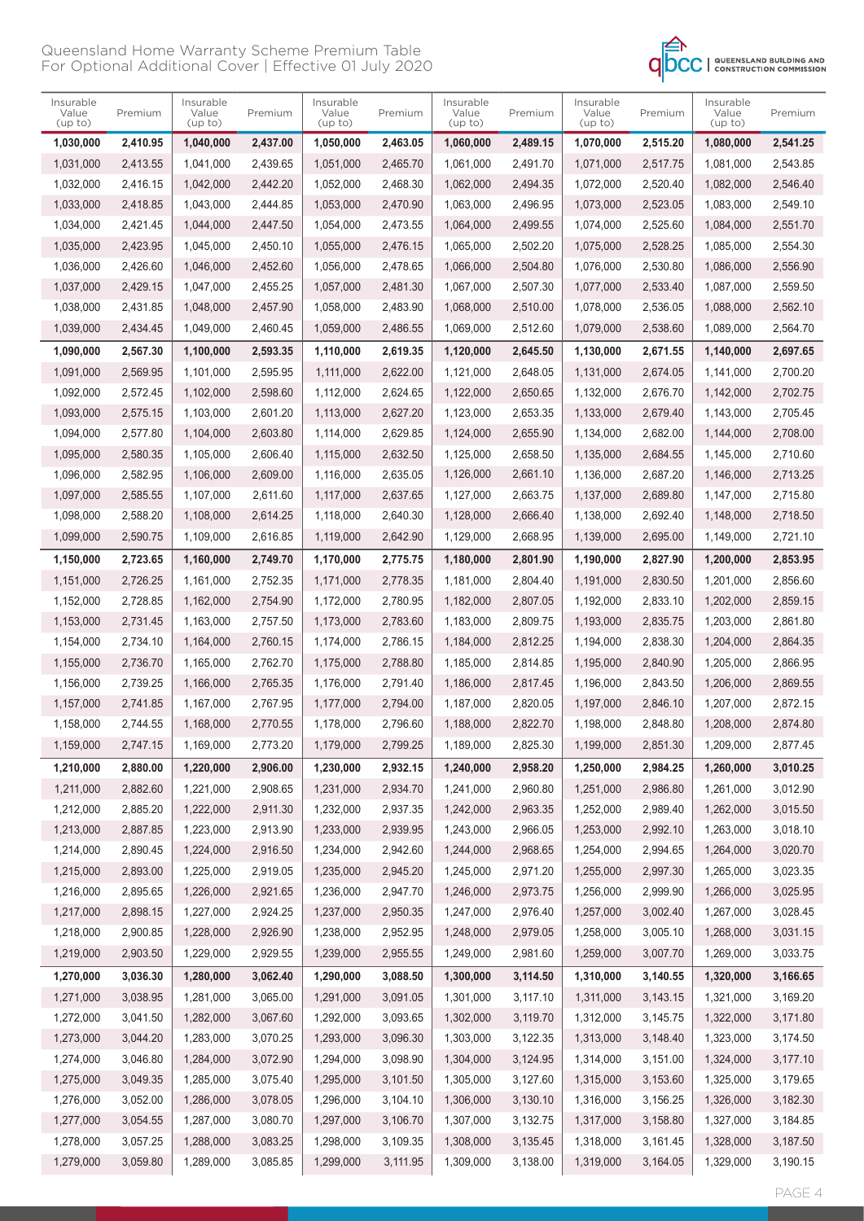

| Insurable<br>Value<br>(up to) | Premium  | Insurable<br>Value<br>(up to) | Premium  | Insurable<br>Value<br>(up to) | Premium  | Insurable<br>Value<br>(up to) | Premium  | Insurable<br>Value<br>(up to) | Premium  | Insurable<br>Value<br>(up to) | Premium  |
|-------------------------------|----------|-------------------------------|----------|-------------------------------|----------|-------------------------------|----------|-------------------------------|----------|-------------------------------|----------|
| 1,030,000                     | 2,410.95 | 1,040,000                     | 2,437.00 | 1,050,000                     | 2,463.05 | 1,060,000                     | 2,489.15 | 1,070,000                     | 2,515.20 | 1,080,000                     | 2.541.25 |
| 1,031,000                     | 2,413.55 | 1,041,000                     | 2,439.65 | 1,051,000                     | 2,465.70 | 1,061,000                     | 2,491.70 | 1,071,000                     | 2,517.75 | 1,081,000                     | 2,543.85 |
| 1,032,000                     | 2,416.15 | 1,042,000                     | 2,442.20 | 1,052,000                     | 2,468.30 | 1,062,000                     | 2,494.35 | 1,072,000                     | 2,520.40 | 1,082,000                     | 2,546.40 |
| 1,033,000                     | 2,418.85 | 1,043,000                     | 2,444.85 | 1,053,000                     | 2,470.90 | 1,063,000                     | 2,496.95 | 1,073,000                     | 2,523.05 | 1,083,000                     | 2,549.10 |
| 1,034,000                     | 2,421.45 | 1,044,000                     | 2,447.50 | 1,054,000                     | 2,473.55 | 1,064,000                     | 2,499.55 | 1,074,000                     | 2,525.60 | 1,084,000                     | 2,551.70 |
| 1,035,000                     | 2,423.95 | 1,045,000                     | 2,450.10 | 1,055,000                     | 2,476.15 | 1,065,000                     | 2,502.20 | 1,075,000                     | 2,528.25 | 1,085,000                     | 2,554.30 |
| 1,036,000                     | 2,426.60 | 1,046,000                     | 2,452.60 | 1,056,000                     | 2,478.65 | 1,066,000                     | 2.504.80 | 1,076,000                     | 2,530.80 | 1,086,000                     | 2,556.90 |
| 1,037,000                     | 2,429.15 | 1,047,000                     | 2,455.25 | 1,057,000                     | 2,481.30 | 1,067,000                     | 2,507.30 | 1,077,000                     | 2,533.40 | 1,087,000                     | 2,559.50 |
| 1,038,000                     | 2,431.85 | 1,048,000                     | 2,457.90 | 1,058,000                     | 2,483.90 | 1,068,000                     | 2,510.00 | 1,078,000                     | 2,536.05 | 1,088,000                     | 2,562.10 |
| 1,039,000                     | 2,434.45 | 1,049,000                     | 2,460.45 | 1,059,000                     | 2,486.55 | 1,069,000                     | 2,512.60 | 1,079,000                     | 2,538.60 | 1,089,000                     | 2,564.70 |
| 1,090,000                     | 2,567.30 | 1,100,000                     | 2,593.35 | 1,110,000                     | 2,619.35 | 1,120,000                     | 2,645.50 | 1,130,000                     | 2,671.55 | 1,140,000                     | 2,697.65 |
| 1,091,000                     | 2,569.95 | 1,101,000                     | 2,595.95 | 1,111,000                     | 2,622.00 | 1,121,000                     | 2,648.05 | 1,131,000                     | 2,674.05 | 1,141,000                     | 2,700.20 |
| 1,092,000                     | 2,572.45 | 1,102,000                     | 2.598.60 | 1,112,000                     | 2,624.65 | 1,122,000                     | 2,650.65 | 1,132,000                     | 2,676.70 | 1,142,000                     | 2,702.75 |
| 1,093,000                     | 2,575.15 | 1,103,000                     | 2,601.20 | 1,113,000                     | 2,627.20 | 1,123,000                     | 2,653.35 | 1,133,000                     | 2,679.40 | 1,143,000                     | 2,705.45 |
| 1,094,000                     | 2,577.80 | 1,104,000                     | 2,603.80 | 1,114,000                     | 2,629.85 | 1,124,000                     | 2,655.90 | 1,134,000                     | 2,682.00 | 1,144,000                     | 2.708.00 |
| 1,095,000                     | 2,580.35 | 1,105,000                     | 2,606.40 | 1,115,000                     | 2,632.50 | 1,125,000                     | 2.658.50 | 1,135,000                     | 2,684.55 | 1,145,000                     | 2,710.60 |
| 1,096,000                     | 2,582.95 | 1,106,000                     | 2,609.00 | 1,116,000                     | 2,635.05 | 1,126,000                     | 2,661.10 | 1,136,000                     | 2,687.20 | 1,146,000                     | 2,713.25 |
| 1,097,000                     | 2,585.55 | 1,107,000                     | 2,611.60 | 1,117,000                     | 2,637.65 | 1,127,000                     | 2,663.75 | 1,137,000                     | 2,689.80 | 1,147,000                     | 2,715.80 |
| 1,098,000                     | 2,588.20 | 1,108,000                     | 2,614.25 | 1,118,000                     | 2,640.30 | 1,128,000                     | 2,666.40 | 1,138,000                     | 2,692.40 | 1,148,000                     | 2,718.50 |
| 1,099,000                     | 2,590.75 | 1,109,000                     | 2,616.85 | 1,119,000                     | 2,642.90 | 1,129,000                     | 2,668.95 | 1,139,000                     | 2,695.00 | 1,149,000                     | 2,721.10 |
| 1,150,000                     | 2,723.65 | 1,160,000                     | 2,749.70 | 1,170,000                     | 2,775.75 | 1,180,000                     | 2,801.90 | 1,190,000                     | 2,827.90 | 1,200,000                     | 2,853.95 |
| 1,151,000                     | 2,726.25 | 1,161,000                     | 2,752.35 | 1,171,000                     | 2,778.35 | 1,181,000                     | 2,804.40 | 1,191,000                     | 2,830.50 | 1,201,000                     | 2,856.60 |
| 1,152,000                     | 2,728.85 | 1,162,000                     | 2,754.90 | 1,172,000                     | 2,780.95 | 1,182,000                     | 2,807.05 | 1,192,000                     | 2,833.10 | 1,202,000                     | 2,859.15 |
| 1,153,000                     | 2,731.45 | 1,163,000                     | 2,757.50 | 1,173,000                     | 2,783.60 | 1,183,000                     | 2,809.75 | 1,193,000                     | 2,835.75 | 1,203,000                     | 2,861.80 |
| 1,154,000                     | 2,734.10 | 1,164,000                     | 2,760.15 | 1,174,000                     | 2,786.15 | 1,184,000                     | 2,812.25 | 1,194,000                     | 2,838.30 | 1,204,000                     | 2,864.35 |
| 1,155,000                     | 2,736.70 | 1,165,000                     | 2,762.70 | 1,175,000                     | 2,788.80 | 1,185,000                     | 2,814.85 | 1,195,000                     | 2,840.90 | 1,205,000                     | 2,866.95 |
| 1,156,000                     | 2,739.25 | 1,166,000                     | 2,765.35 | 1,176,000                     | 2,791.40 | 1,186,000                     | 2,817.45 | 1,196,000                     | 2,843.50 | 1,206,000                     | 2,869.55 |
| 1.157.000                     | 2,741.85 | 1,167,000                     | 2,767.95 | 1,177,000                     | 2,794.00 | 1,187,000                     | 2,820.05 | 1,197,000                     | 2,846.10 | 1,207,000                     | 2,872.15 |
| 1,158,000                     | 2,744.55 | 1,168,000                     | 2,770.55 | 1,178,000                     | 2,796.60 | 1,188,000                     | 2,822.70 | 1,198,000                     | 2.848.80 | 1,208,000                     | 2,874.80 |
| 1,159,000                     | 2,747.15 | 1,169,000                     | 2,773.20 | 1,179,000                     | 2,799.25 | 1,189,000                     | 2,825.30 | 1,199,000                     | 2,851.30 | 1,209,000                     | 2,877.45 |
| 1,210,000                     | 2,880.00 | 1,220,000                     | 2,906.00 | 1,230,000                     | 2,932.15 | 1,240,000                     | 2,958.20 | 1,250,000                     | 2,984.25 | 1,260,000                     | 3,010.25 |
| 1,211,000                     | 2,882.60 | 1,221,000                     | 2,908.65 | 1,231,000                     | 2,934.70 | 1,241,000                     | 2,960.80 | 1,251,000                     | 2,986.80 | 1,261,000                     | 3,012.90 |
| 1,212,000                     | 2,885.20 | 1,222,000                     | 2,911.30 | 1,232,000                     | 2,937.35 | 1,242,000                     | 2,963.35 | 1,252,000                     | 2,989.40 | 1,262,000                     | 3,015.50 |
| 1,213,000                     | 2,887.85 | 1,223,000                     | 2,913.90 | 1,233,000                     | 2,939.95 | 1,243,000                     | 2,966.05 | 1,253,000                     | 2,992.10 | 1,263,000                     | 3,018.10 |
| 1,214,000                     | 2,890.45 | 1,224,000                     | 2,916.50 | 1,234,000                     | 2,942.60 | 1,244,000                     | 2,968.65 | 1,254,000                     | 2,994.65 | 1,264,000                     | 3,020.70 |
| 1,215,000                     | 2,893.00 | 1,225,000                     | 2,919.05 | 1,235,000                     | 2,945.20 | 1,245,000                     | 2,971.20 | 1,255,000                     | 2,997.30 | 1,265,000                     | 3,023.35 |
| 1,216,000                     | 2,895.65 | 1,226,000                     | 2,921.65 | 1,236,000                     | 2,947.70 | 1,246,000                     | 2,973.75 | 1,256,000                     | 2,999.90 | 1,266,000                     | 3,025.95 |
| 1,217,000                     | 2,898.15 | 1,227,000                     | 2,924.25 | 1,237,000                     | 2,950.35 | 1,247,000                     | 2,976.40 | 1,257,000                     | 3,002.40 | 1,267,000                     | 3,028.45 |
| 1,218,000                     | 2,900.85 | 1,228,000                     | 2,926.90 | 1,238,000                     | 2,952.95 | 1,248,000                     | 2,979.05 | 1,258,000                     | 3,005.10 | 1,268,000                     | 3,031.15 |
| 1,219,000                     | 2,903.50 | 1,229,000                     | 2,929.55 | 1,239,000                     | 2,955.55 | 1,249,000                     | 2,981.60 | 1,259,000                     | 3,007.70 | 1,269,000                     | 3,033.75 |
| 1,270,000                     | 3,036.30 | 1,280,000                     | 3,062.40 | 1,290,000                     | 3,088.50 | 1,300,000                     | 3,114.50 | 1,310,000                     | 3,140.55 | 1,320,000                     | 3,166.65 |
| 1,271,000                     | 3,038.95 | 1,281,000                     | 3,065.00 | 1,291,000                     | 3,091.05 | 1,301,000                     | 3,117.10 | 1,311,000                     | 3,143.15 | 1,321,000                     | 3,169.20 |
| 1,272,000                     | 3,041.50 | 1,282,000                     | 3,067.60 | 1,292,000                     | 3,093.65 | 1,302,000                     | 3,119.70 | 1,312,000                     | 3,145.75 | 1,322,000                     | 3,171.80 |
| 1,273,000                     | 3,044.20 | 1,283,000                     | 3,070.25 | 1,293,000                     | 3,096.30 | 1,303,000                     | 3,122.35 | 1,313,000                     | 3,148.40 | 1,323,000                     | 3,174.50 |
| 1,274,000                     | 3,046.80 | 1,284,000                     | 3,072.90 | 1,294,000                     | 3,098.90 | 1,304,000                     | 3,124.95 | 1,314,000                     | 3,151.00 | 1,324,000                     | 3,177.10 |
| 1,275,000                     | 3,049.35 | 1,285,000                     | 3,075.40 | 1,295,000                     | 3,101.50 | 1,305,000                     | 3,127.60 | 1,315,000                     | 3,153.60 | 1,325,000                     | 3,179.65 |
| 1,276,000                     | 3,052.00 | 1,286,000                     | 3,078.05 | 1,296,000                     | 3,104.10 | 1,306,000                     | 3,130.10 | 1,316,000                     | 3,156.25 | 1,326,000                     | 3,182.30 |
| 1,277,000                     | 3,054.55 | 1,287,000                     | 3,080.70 | 1,297,000                     | 3,106.70 | 1,307,000                     | 3,132.75 | 1,317,000                     | 3,158.80 | 1,327,000                     | 3,184.85 |
| 1,278,000                     | 3,057.25 | 1,288,000                     | 3,083.25 | 1,298,000                     | 3,109.35 | 1,308,000                     | 3,135.45 | 1,318,000                     | 3,161.45 | 1,328,000                     | 3,187.50 |
| 1,279,000                     | 3,059.80 | 1,289,000                     | 3,085.85 | 1,299,000                     | 3,111.95 | 1,309,000                     | 3,138.00 | 1,319,000                     | 3,164.05 | 1,329,000                     | 3,190.15 |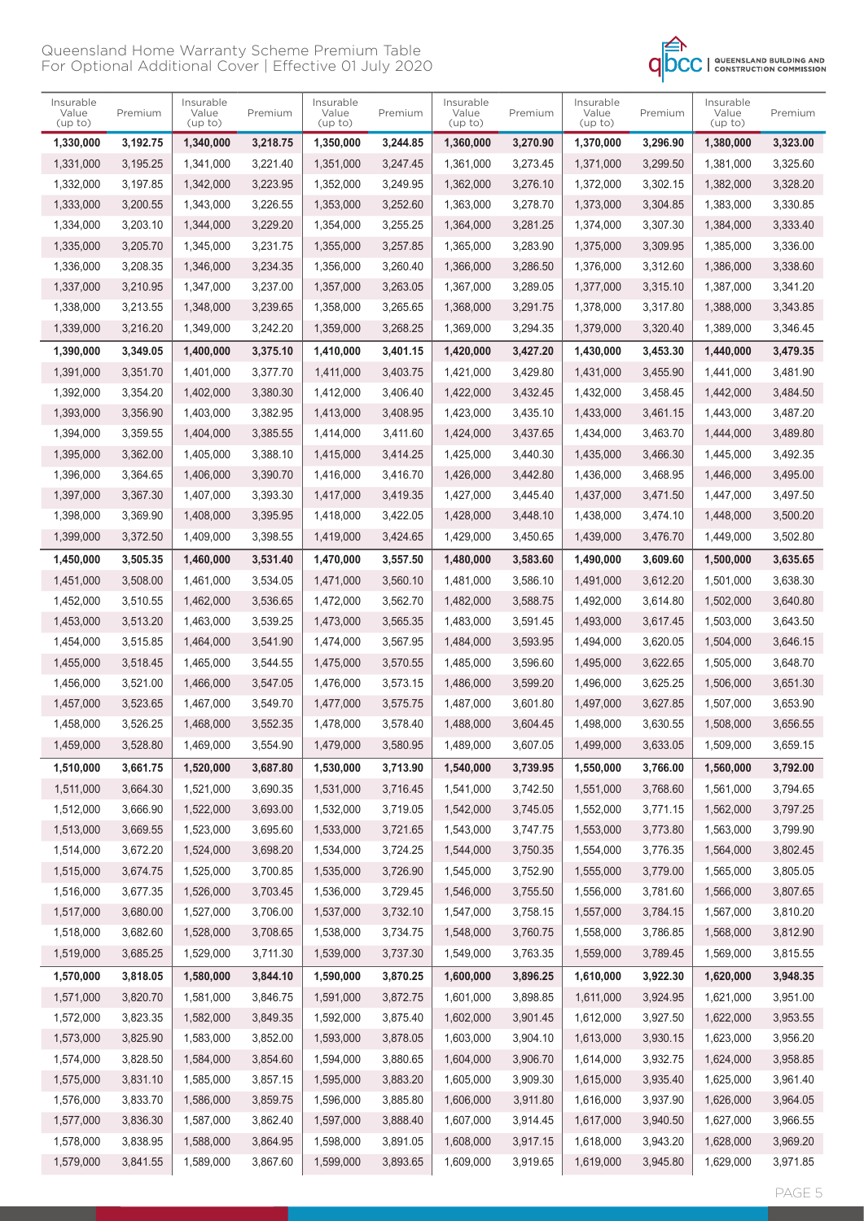

| Insurable<br>Value<br>(up to) | Premium  | Insurable<br>Value<br>(up to) | Premium  | Insurable<br>Value<br>(up to) | Premium  | Insurable<br>Value<br>(up to) | Premium              | Insurable<br>Value<br>(up to) | Premium              | Insurable<br>Value<br>(up to) | Premium  |
|-------------------------------|----------|-------------------------------|----------|-------------------------------|----------|-------------------------------|----------------------|-------------------------------|----------------------|-------------------------------|----------|
| 1,330,000                     | 3,192.75 | 1,340,000                     | 3,218.75 | 1,350,000                     | 3,244.85 | 1,360,000                     | 3,270.90             | 1,370,000                     | 3,296.90             | 1,380,000                     | 3,323.00 |
| 1,331,000                     | 3,195.25 | 1,341,000                     | 3,221.40 | 1,351,000                     | 3,247.45 | 1,361,000                     | 3,273.45             | 1,371,000                     | 3,299.50             | 1,381,000                     | 3,325.60 |
| 1,332,000                     | 3,197.85 | 1,342,000                     | 3,223.95 | 1,352,000                     | 3,249.95 | 1,362,000                     | 3,276.10             | 1,372,000                     | 3,302.15             | 1,382,000                     | 3,328.20 |
| 1,333,000                     | 3,200.55 | 1,343,000                     | 3,226.55 | 1,353,000                     | 3,252.60 | 1,363,000                     | 3,278.70             | 1,373,000                     | 3,304.85             | 1,383,000                     | 3,330.85 |
| 1,334,000                     | 3,203.10 | 1,344,000                     | 3,229.20 | 1,354,000                     | 3,255.25 | 1,364,000                     | 3,281.25             | 1,374,000                     | 3,307.30             | 1,384,000                     | 3,333.40 |
| 1,335,000                     | 3,205.70 | 1,345,000                     | 3,231.75 | 1,355,000                     | 3,257.85 | 1,365,000                     | 3,283.90             | 1,375,000                     | 3,309.95             | 1,385,000                     | 3,336.00 |
| 1,336,000                     | 3,208.35 | 1,346,000                     | 3,234.35 | 1,356,000                     | 3,260.40 | 1,366,000                     | 3,286.50             | 1,376,000                     | 3,312.60             | 1,386,000                     | 3,338.60 |
| 1,337,000                     | 3,210.95 | 1,347,000                     | 3,237.00 | 1,357,000                     | 3,263.05 | 1,367,000                     | 3,289.05             | 1,377,000                     | 3.315.10             | 1,387,000                     | 3,341.20 |
| 1,338,000                     | 3,213.55 | 1,348,000                     | 3,239.65 | 1,358,000                     | 3,265.65 | 1,368,000                     | 3,291.75             | 1,378,000                     | 3,317.80             | 1,388,000                     | 3,343.85 |
| 1,339,000                     | 3,216.20 | 1,349,000                     | 3,242.20 | 1,359,000                     | 3,268.25 | 1,369,000                     | 3,294.35             | 1,379,000                     | 3,320.40             | 1,389,000                     | 3,346.45 |
| 1,390,000                     | 3,349.05 | 1,400,000                     | 3,375.10 | 1,410,000                     | 3,401.15 | 1,420,000                     | 3,427.20             | 1,430,000                     | 3,453.30             | 1,440,000                     | 3,479.35 |
| 1,391,000                     | 3,351.70 | 1,401,000                     | 3,377.70 | 1,411,000                     | 3.403.75 | 1,421,000                     | 3,429.80             | 1,431,000                     | 3,455.90             | 1,441,000                     | 3,481.90 |
| 1,392,000                     | 3,354.20 | 1,402,000                     | 3.380.30 | 1,412,000                     | 3,406.40 | 1,422,000                     | 3,432.45             | 1,432,000                     | 3.458.45             | 1,442,000                     | 3,484.50 |
| 1,393,000                     | 3,356.90 | 1,403,000                     | 3,382.95 | 1,413,000                     | 3.408.95 | 1.423.000                     | 3,435.10             | 1,433,000                     | 3,461.15             | 1,443,000                     | 3,487.20 |
| 1,394,000                     | 3,359.55 | 1,404,000                     | 3,385.55 | 1,414,000                     | 3,411.60 | 1,424,000                     | 3,437.65             | 1,434,000                     | 3,463.70             | 1,444,000                     | 3,489.80 |
| 1,395,000                     | 3,362.00 | 1,405,000                     | 3,388.10 | 1,415,000                     | 3,414.25 | 1,425,000                     | 3,440.30             | 1,435,000                     | 3,466.30             | 1,445,000                     | 3,492.35 |
| 1,396,000                     | 3,364.65 | 1,406,000                     | 3,390.70 | 1,416,000                     | 3,416.70 | 1,426,000                     | 3,442.80             | 1,436,000                     | 3,468.95             | 1,446,000                     | 3,495.00 |
| 1,397,000                     | 3.367.30 | 1,407,000                     | 3,393.30 | 1,417,000                     | 3.419.35 | 1.427.000                     | 3,445.40             | 1,437,000                     | 3,471.50             | 1,447,000                     | 3,497.50 |
| 1,398,000                     | 3,369.90 | 1,408,000                     | 3,395.95 | 1,418,000                     | 3,422.05 | 1,428,000                     | 3,448.10             | 1,438,000                     | 3,474.10             | 1,448,000                     | 3,500.20 |
| 1,399,000                     | 3,372.50 | 1,409,000                     | 3,398.55 | 1,419,000                     | 3,424.65 | 1,429,000                     | 3,450.65             | 1,439,000                     | 3,476.70             | 1,449,000                     | 3,502.80 |
| 1,450,000                     | 3,505.35 | 1,460,000                     | 3,531.40 | 1,470,000                     | 3,557.50 | 1,480,000                     | 3,583.60             | 1,490,000                     | 3,609.60             | 1,500,000                     | 3,635.65 |
| 1,451,000                     | 3,508.00 | 1,461,000                     | 3,534.05 | 1,471,000                     | 3,560.10 | 1,481,000                     | 3,586.10             | 1,491,000                     | 3,612.20             | 1,501,000                     | 3,638.30 |
| 1,452,000                     | 3,510.55 | 1,462,000                     | 3,536.65 | 1,472,000                     | 3,562.70 | 1,482,000                     | 3,588.75             | 1,492,000                     | 3,614.80             | 1,502,000                     | 3,640.80 |
| 1,453,000                     | 3,513.20 | 1,463,000                     | 3,539.25 | 1,473,000                     | 3,565.35 | 1,483,000                     | 3,591.45             | 1,493,000                     | 3,617.45             | 1,503,000                     | 3,643.50 |
| 1,454,000                     | 3,515.85 | 1,464,000                     | 3,541.90 | 1,474,000                     | 3,567.95 | 1,484,000                     | 3,593.95             | 1,494,000                     | 3,620.05             | 1,504,000                     | 3,646.15 |
| 1,455,000                     | 3.518.45 | 1,465,000                     | 3,544.55 | 1,475,000                     | 3,570.55 | 1,485,000                     | 3,596.60             | 1,495,000                     | 3,622.65             | 1,505,000                     | 3,648.70 |
| 1,456,000                     | 3,521.00 | 1,466,000                     | 3,547.05 | 1,476,000                     | 3,573.15 | 1,486,000                     | 3,599.20             | 1,496,000                     | 3,625.25             | 1,506,000                     | 3,651.30 |
| 1,457,000                     | 3,523.65 | 1,467,000                     | 3.549.70 | 1,477,000                     | 3,575.75 | 1,487,000                     | 3,601.80             | 1,497,000                     | 3.627.85             | 1,507,000                     | 3,653.90 |
| 1,458,000                     | 3,526.25 | 1,468,000                     | 3,552.35 | 1,478,000                     | 3,578.40 | 1,488,000                     | 3,604.45             | 1,498,000                     | 3,630.55             | 1,508,000                     | 3,656.55 |
| 1,459,000                     | 3,528.80 | 1,469,000                     | 3,554.90 | 1,479,000                     | 3,580.95 | 1,489,000                     | 3,607.05             | 1,499,000                     | 3,633.05             | 1,509,000                     | 3,659.15 |
| 1,510,000                     | 3,661.75 | 1,520,000                     | 3,687.80 | 1,530,000                     | 3,713.90 | 1,540,000                     | 3,739.95             | 1,550,000                     | 3,766.00             | 1,560,000                     | 3,792.00 |
| 1,511,000                     | 3,664.30 | 1,521,000                     | 3,690.35 | 1,531,000                     | 3,716.45 | 1,541,000                     | 3,742.50             | 1,551,000                     | 3,768.60             | 1,561,000                     | 3,794.65 |
| 1,512,000                     | 3,666.90 | 1,522,000                     | 3,693.00 | 1,532,000                     | 3,719.05 | 1,542,000                     | 3,745.05             | 1,552,000                     | 3,771.15             | 1,562,000                     | 3,797.25 |
| 1,513,000                     | 3,669.55 | 1,523,000                     | 3,695.60 | 1,533,000                     | 3,721.65 | 1,543,000                     | 3,747.75             | 1,553,000                     | 3,773.80             | 1,563,000                     | 3,799.90 |
| 1,514,000                     | 3,672.20 | 1,524,000                     | 3,698.20 | 1,534,000                     | 3,724.25 | 1,544,000                     | 3,750.35             | 1,554,000                     | 3,776.35             | 1,564,000                     | 3,802.45 |
| 1,515,000                     | 3,674.75 | 1,525,000                     | 3,700.85 | 1,535,000                     | 3,726.90 | 1,545,000                     | 3,752.90             | 1,555,000                     | 3,779.00             | 1,565,000                     | 3,805.05 |
| 1,516,000                     | 3,677.35 | 1,526,000                     | 3,703.45 | 1,536,000                     | 3,729.45 | 1,546,000                     | 3,755.50             | 1,556,000                     | 3,781.60             | 1,566,000                     | 3,807.65 |
| 1,517,000                     | 3,680.00 | 1,527,000                     | 3,706.00 | 1,537,000                     | 3,732.10 | 1,547,000                     | 3,758.15             | 1,557,000                     | 3,784.15             | 1,567,000                     | 3,810.20 |
| 1,518,000                     | 3,682.60 | 1,528,000                     | 3,708.65 | 1,538,000                     | 3,734.75 | 1,548,000                     | 3,760.75             | 1,558,000                     | 3,786.85             | 1,568,000                     | 3,812.90 |
| 1,519,000                     | 3,685.25 | 1,529,000                     | 3,711.30 | 1,539,000                     | 3,737.30 | 1,549,000                     | 3,763.35             | 1,559,000                     | 3,789.45             | 1,569,000                     | 3,815.55 |
| 1,570,000                     | 3,818.05 | 1,580,000                     | 3,844.10 | 1,590,000                     | 3,870.25 | 1,600,000                     | 3,896.25             | 1,610,000                     | 3,922.30             | 1,620,000                     | 3,948.35 |
| 1,571,000                     | 3,820.70 | 1,581,000                     | 3,846.75 | 1,591,000                     | 3,872.75 | 1,601,000                     | 3,898.85             | 1,611,000                     | 3,924.95             | 1,621,000                     | 3,951.00 |
| 1,572,000                     | 3,823.35 | 1,582,000                     | 3,849.35 | 1,592,000                     | 3,875.40 | 1,602,000                     | 3,901.45             | 1,612,000                     | 3,927.50             | 1,622,000                     | 3,953.55 |
|                               | 3,825.90 | 1,583,000                     | 3,852.00 | 1,593,000                     | 3,878.05 | 1,603,000                     |                      |                               |                      |                               | 3,956.20 |
| 1,573,000<br>1,574,000        | 3,828.50 | 1,584,000                     | 3,854.60 | 1,594,000                     | 3,880.65 | 1,604,000                     | 3,904.10<br>3,906.70 | 1,613,000<br>1,614,000        | 3,930.15<br>3,932.75 | 1,623,000<br>1,624,000        | 3,958.85 |
| 1,575,000                     | 3,831.10 | 1,585,000                     | 3,857.15 | 1,595,000                     | 3,883.20 | 1,605,000                     | 3,909.30             | 1,615,000                     | 3,935.40             | 1,625,000                     | 3,961.40 |
| 1,576,000                     | 3,833.70 | 1,586,000                     | 3,859.75 | 1,596,000                     | 3,885.80 | 1,606,000                     | 3,911.80             | 1,616,000                     | 3,937.90             | 1,626,000                     | 3,964.05 |
| 1,577,000                     | 3,836.30 | 1,587,000                     | 3,862.40 | 1,597,000                     | 3,888.40 | 1,607,000                     | 3,914.45             | 1,617,000                     | 3,940.50             | 1,627,000                     | 3,966.55 |
| 1,578,000                     | 3,838.95 | 1,588,000                     | 3,864.95 | 1,598,000                     | 3,891.05 | 1,608,000                     | 3,917.15             | 1,618,000                     | 3,943.20             | 1,628,000                     | 3,969.20 |
| 1,579,000                     | 3,841.55 | 1,589,000                     | 3,867.60 | 1,599,000                     | 3,893.65 | 1,609,000                     | 3,919.65             | 1,619,000                     | 3,945.80             | 1,629,000                     | 3,971.85 |
|                               |          |                               |          |                               |          |                               |                      |                               |                      |                               |          |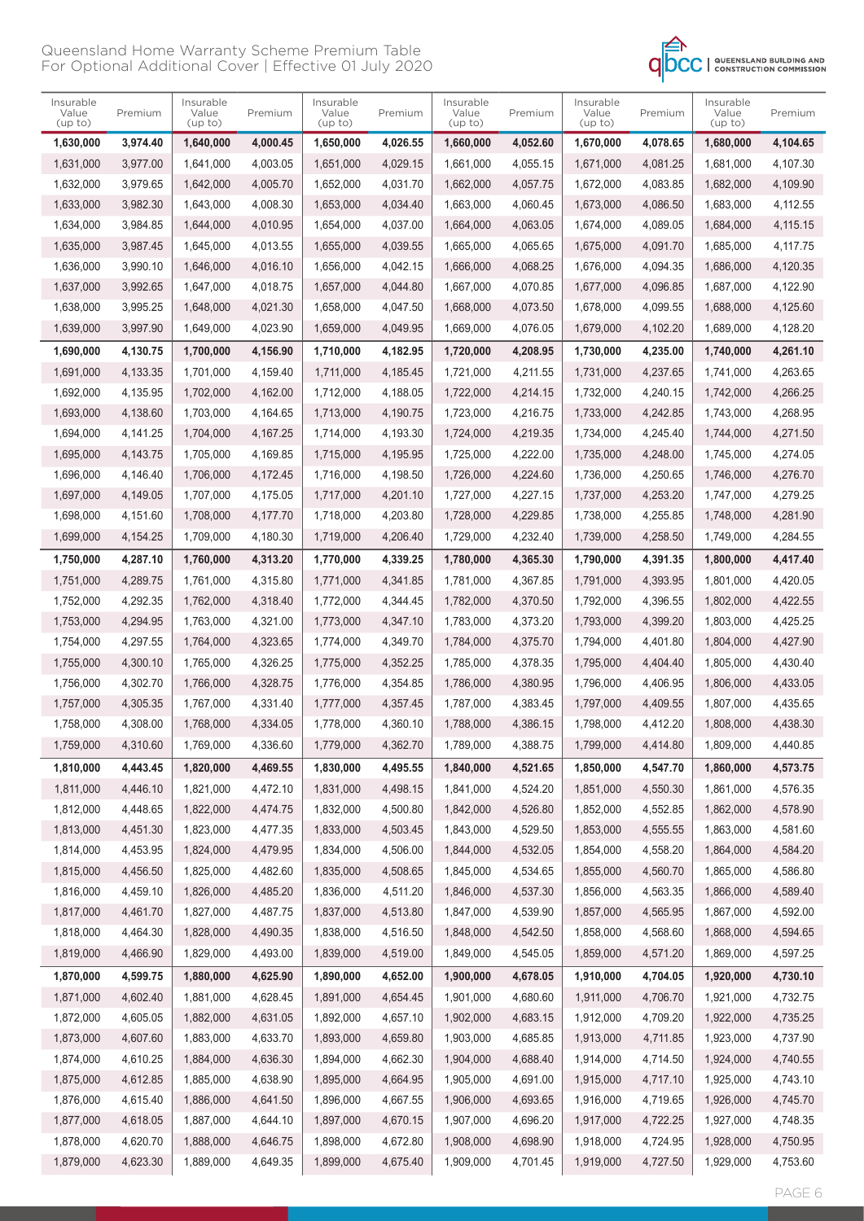

| Insurable<br>Value<br>(up to) | Premium  | Insurable<br>Value<br>(up to) | Premium  | Insurable<br>Value<br>(up to) | Premium  | Insurable<br>Value<br>(up to) | Premium  | Insurable<br>Value<br>(up to) | Premium  | Insurable<br>Value<br>(up to) | Premium  |
|-------------------------------|----------|-------------------------------|----------|-------------------------------|----------|-------------------------------|----------|-------------------------------|----------|-------------------------------|----------|
| 1,630,000                     | 3,974.40 | 1,640,000                     | 4,000.45 | 1,650,000                     | 4,026.55 | 1,660,000                     | 4,052.60 | 1,670,000                     | 4,078.65 | 1,680,000                     | 4,104.65 |
| 1,631,000                     | 3,977.00 | 1,641,000                     | 4,003.05 | 1,651,000                     | 4,029.15 | 1,661,000                     | 4,055.15 | 1,671,000                     | 4,081.25 | 1,681,000                     | 4,107.30 |
| 1,632,000                     | 3,979.65 | 1,642,000                     | 4.005.70 | 1,652,000                     | 4,031.70 | 1,662,000                     | 4,057.75 | 1,672,000                     | 4,083.85 | 1,682,000                     | 4,109.90 |
| 1,633,000                     | 3,982.30 | 1,643,000                     | 4,008.30 | 1,653,000                     | 4,034.40 | 1,663,000                     | 4,060.45 | 1,673,000                     | 4,086.50 | 1,683,000                     | 4,112.55 |
| 1,634,000                     | 3,984.85 | 1,644,000                     | 4,010.95 | 1,654,000                     | 4,037.00 | 1,664,000                     | 4,063.05 | 1,674,000                     | 4,089.05 | 1,684,000                     | 4,115.15 |
| 1,635,000                     | 3,987.45 | 1,645,000                     | 4,013.55 | 1,655,000                     | 4,039.55 | 1,665,000                     | 4,065.65 | 1,675,000                     | 4,091.70 | 1,685,000                     | 4,117.75 |
| 1,636,000                     | 3,990.10 | 1,646,000                     | 4,016.10 | 1,656,000                     | 4.042.15 | 1,666,000                     | 4,068.25 | 1,676,000                     | 4.094.35 | 1,686,000                     | 4,120.35 |
| 1,637,000                     | 3.992.65 | 1,647,000                     | 4,018.75 | 1,657,000                     | 4.044.80 | 1,667,000                     | 4,070.85 | 1,677,000                     | 4,096.85 | 1,687,000                     | 4,122.90 |
| 1,638,000                     | 3,995.25 | 1,648,000                     | 4,021.30 | 1,658,000                     | 4,047.50 | 1,668,000                     | 4,073.50 | 1,678,000                     | 4,099.55 | 1,688,000                     | 4,125.60 |
| 1,639,000                     | 3,997.90 | 1,649,000                     | 4,023.90 | 1,659,000                     | 4,049.95 | 1,669,000                     | 4,076.05 | 1,679,000                     | 4,102.20 | 1,689,000                     | 4,128.20 |
| 1,690,000                     | 4,130.75 | 1,700,000                     | 4,156.90 | 1,710,000                     | 4,182.95 | 1,720,000                     | 4,208.95 | 1,730,000                     | 4,235.00 | 1,740,000                     | 4,261.10 |
| 1,691,000                     | 4,133.35 | 1,701,000                     | 4,159.40 | 1,711,000                     | 4,185.45 | 1,721,000                     | 4,211.55 | 1,731,000                     | 4,237.65 | 1,741,000                     | 4,263.65 |
| 1,692,000                     | 4,135.95 | 1,702,000                     | 4,162.00 | 1,712,000                     | 4,188.05 | 1,722,000                     | 4,214.15 | 1,732,000                     | 4,240.15 | 1,742,000                     | 4,266.25 |
| 1,693,000                     | 4,138.60 | 1,703,000                     | 4,164.65 | 1,713,000                     | 4,190.75 | 1,723,000                     | 4,216.75 | 1,733,000                     | 4,242.85 | 1,743,000                     | 4.268.95 |
| 1,694,000                     | 4.141.25 | 1,704,000                     | 4,167.25 | 1,714,000                     | 4,193.30 | 1,724,000                     | 4,219.35 | 1,734,000                     | 4,245.40 | 1,744,000                     | 4,271.50 |
| 1,695,000                     | 4,143.75 | 1,705,000                     | 4,169.85 | 1,715,000                     | 4,195.95 | 1,725,000                     | 4,222.00 | 1,735,000                     | 4.248.00 | 1,745,000                     | 4,274.05 |
| 1,696,000                     | 4,146.40 | 1,706,000                     | 4,172.45 | 1,716,000                     | 4,198.50 | 1,726,000                     | 4,224.60 | 1,736,000                     | 4,250.65 | 1,746,000                     | 4,276.70 |
| 1,697,000                     | 4,149.05 | 1,707,000                     | 4,175.05 | 1,717,000                     | 4,201.10 | 1,727,000                     | 4.227.15 | 1,737,000                     | 4,253.20 | 1,747,000                     | 4,279.25 |
| 1,698,000                     | 4,151.60 | 1,708,000                     | 4,177.70 | 1,718,000                     | 4,203.80 | 1,728,000                     | 4,229.85 | 1,738,000                     | 4,255.85 | 1,748,000                     | 4,281.90 |
| 1,699,000                     | 4,154.25 | 1,709,000                     | 4,180.30 | 1,719,000                     | 4,206.40 | 1,729,000                     | 4,232.40 | 1,739,000                     | 4,258.50 | 1,749,000                     | 4,284.55 |
| 1,750,000                     | 4,287.10 | 1,760,000                     | 4,313.20 | 1,770,000                     | 4,339.25 | 1,780,000                     | 4,365.30 | 1,790,000                     | 4,391.35 | 1,800,000                     | 4,417.40 |
| 1,751,000                     | 4,289.75 | 1,761,000                     | 4,315.80 | 1,771,000                     | 4,341.85 | 1,781,000                     | 4,367.85 | 1,791,000                     | 4,393.95 | 1,801,000                     | 4,420.05 |
| 1,752,000                     | 4,292.35 | 1,762,000                     | 4,318.40 | 1,772,000                     | 4,344.45 | 1,782,000                     | 4,370.50 | 1,792,000                     | 4,396.55 | 1,802,000                     | 4,422.55 |
| 1,753,000                     | 4,294.95 | 1,763,000                     | 4,321.00 | 1,773,000                     | 4,347.10 | 1,783,000                     | 4,373.20 | 1,793,000                     | 4,399.20 | 1,803,000                     | 4,425.25 |
| 1,754,000                     | 4,297.55 | 1,764,000                     | 4,323.65 | 1,774,000                     | 4,349.70 | 1,784,000                     | 4,375.70 | 1,794,000                     | 4,401.80 | 1,804,000                     | 4,427.90 |
| 1,755,000                     | 4,300.10 | 1,765,000                     | 4,326.25 | 1,775,000                     | 4,352.25 | 1,785,000                     | 4,378.35 | 1,795,000                     | 4,404.40 | 1,805,000                     | 4,430.40 |
| 1,756,000                     | 4,302.70 | 1,766,000                     | 4,328.75 | 1,776,000                     | 4,354.85 | 1,786,000                     | 4,380.95 | 1,796,000                     | 4,406.95 | 1,806,000                     | 4,433.05 |
| 1,757,000                     | 4,305.35 | 1,767,000                     | 4,331.40 | 1,777,000                     | 4,357.45 | 1,787,000                     | 4,383.45 | 1,797,000                     | 4,409.55 | 1,807,000                     | 4.435.65 |
| 1,758,000                     | 4,308.00 | 1,768,000                     | 4,334.05 | 1,778,000                     | 4,360.10 | 1,788,000                     | 4,386.15 | 1,798,000                     | 4,412.20 | 1,808,000                     | 4,438.30 |
| 1,759,000                     | 4,310.60 | 1,769,000                     | 4,336.60 | 1,779,000                     | 4,362.70 | 1,789,000                     | 4,388.75 | 1,799,000                     | 4,414.80 | 1,809,000                     | 4,440.85 |
| 1,810,000                     | 4,443.45 | 1,820,000                     | 4,469.55 | 1,830,000                     | 4,495.55 | 1,840,000                     | 4,521.65 | 1,850,000                     | 4,547.70 | 1,860,000                     | 4,573.75 |
| 1,811,000                     | 4,446.10 | 1,821,000                     | 4,472.10 | 1,831,000                     | 4,498.15 | 1,841,000                     | 4,524.20 | 1,851,000                     | 4,550.30 | 1,861,000                     | 4,576.35 |
| 1,812,000                     | 4,448.65 | 1,822,000                     | 4,474.75 | 1,832,000                     | 4,500.80 | 1,842,000                     | 4,526.80 | 1,852,000                     | 4,552.85 | 1,862,000                     | 4,578.90 |
| 1,813,000                     | 4,451.30 | 1,823,000                     | 4,477.35 | 1,833,000                     | 4,503.45 | 1,843,000                     | 4,529.50 | 1,853,000                     | 4,555.55 | 1,863,000                     | 4,581.60 |
| 1,814,000                     | 4,453.95 | 1,824,000                     | 4,479.95 | 1,834,000                     | 4,506.00 | 1,844,000                     | 4,532.05 | 1,854,000                     | 4,558.20 | 1,864,000                     | 4,584.20 |
| 1,815,000                     | 4,456.50 | 1,825,000                     | 4,482.60 | 1,835,000                     | 4,508.65 | 1,845,000                     | 4,534.65 | 1,855,000                     | 4,560.70 | 1,865,000                     | 4,586.80 |
| 1,816,000                     | 4,459.10 | 1,826,000                     | 4,485.20 | 1,836,000                     | 4,511.20 | 1,846,000                     | 4,537.30 | 1,856,000                     | 4,563.35 | 1,866,000                     | 4,589.40 |
| 1,817,000                     | 4,461.70 | 1,827,000                     | 4,487.75 | 1,837,000                     | 4,513.80 | 1,847,000                     | 4,539.90 | 1,857,000                     | 4,565.95 | 1,867,000                     | 4,592.00 |
| 1,818,000                     | 4,464.30 | 1,828,000                     | 4,490.35 | 1,838,000                     | 4,516.50 | 1,848,000                     | 4,542.50 | 1,858,000                     | 4,568.60 | 1,868,000                     | 4,594.65 |
| 1,819,000                     | 4,466.90 | 1,829,000                     | 4,493.00 | 1,839,000                     | 4,519.00 | 1,849,000                     | 4,545.05 | 1,859,000                     | 4,571.20 | 1,869,000                     | 4,597.25 |
| 1,870,000                     | 4,599.75 | 1,880,000                     | 4,625.90 | 1,890,000                     | 4,652.00 | 1,900,000                     | 4,678.05 | 1,910,000                     | 4,704.05 | 1,920,000                     | 4,730.10 |
| 1,871,000                     | 4,602.40 | 1,881,000                     | 4,628.45 | 1,891,000                     | 4,654.45 | 1,901,000                     | 4,680.60 | 1,911,000                     | 4,706.70 | 1,921,000                     | 4,732.75 |
| 1,872,000                     | 4,605.05 | 1,882,000                     | 4,631.05 | 1,892,000                     | 4,657.10 | 1,902,000                     | 4,683.15 | 1,912,000                     | 4,709.20 | 1,922,000                     | 4,735.25 |
| 1,873,000                     | 4,607.60 | 1,883,000                     | 4,633.70 | 1,893,000                     | 4,659.80 | 1,903,000                     | 4,685.85 | 1,913,000                     | 4,711.85 | 1,923,000                     | 4,737.90 |
| 1,874,000                     | 4,610.25 | 1,884,000                     | 4,636.30 | 1,894,000                     | 4,662.30 | 1,904,000                     | 4,688.40 | 1,914,000                     | 4,714.50 | 1,924,000                     | 4,740.55 |
| 1,875,000                     | 4,612.85 | 1,885,000                     | 4,638.90 | 1,895,000                     | 4,664.95 | 1,905,000                     | 4,691.00 | 1,915,000                     | 4,717.10 | 1,925,000                     | 4,743.10 |
| 1,876,000                     | 4,615.40 | 1,886,000                     | 4,641.50 | 1,896,000                     | 4,667.55 | 1,906,000                     | 4,693.65 | 1,916,000                     | 4,719.65 | 1,926,000                     | 4,745.70 |
| 1,877,000                     | 4,618.05 | 1,887,000                     | 4,644.10 | 1,897,000                     | 4,670.15 | 1,907,000                     | 4,696.20 | 1,917,000                     | 4,722.25 | 1,927,000                     | 4,748.35 |
| 1,878,000                     | 4,620.70 | 1,888,000                     | 4,646.75 | 1,898,000                     | 4,672.80 | 1,908,000                     | 4,698.90 | 1,918,000                     | 4,724.95 | 1,928,000                     | 4,750.95 |
| 1,879,000                     | 4,623.30 | 1,889,000                     | 4,649.35 | 1,899,000                     | 4,675.40 | 1,909,000                     | 4,701.45 | 1,919,000                     | 4,727.50 | 1,929,000                     | 4,753.60 |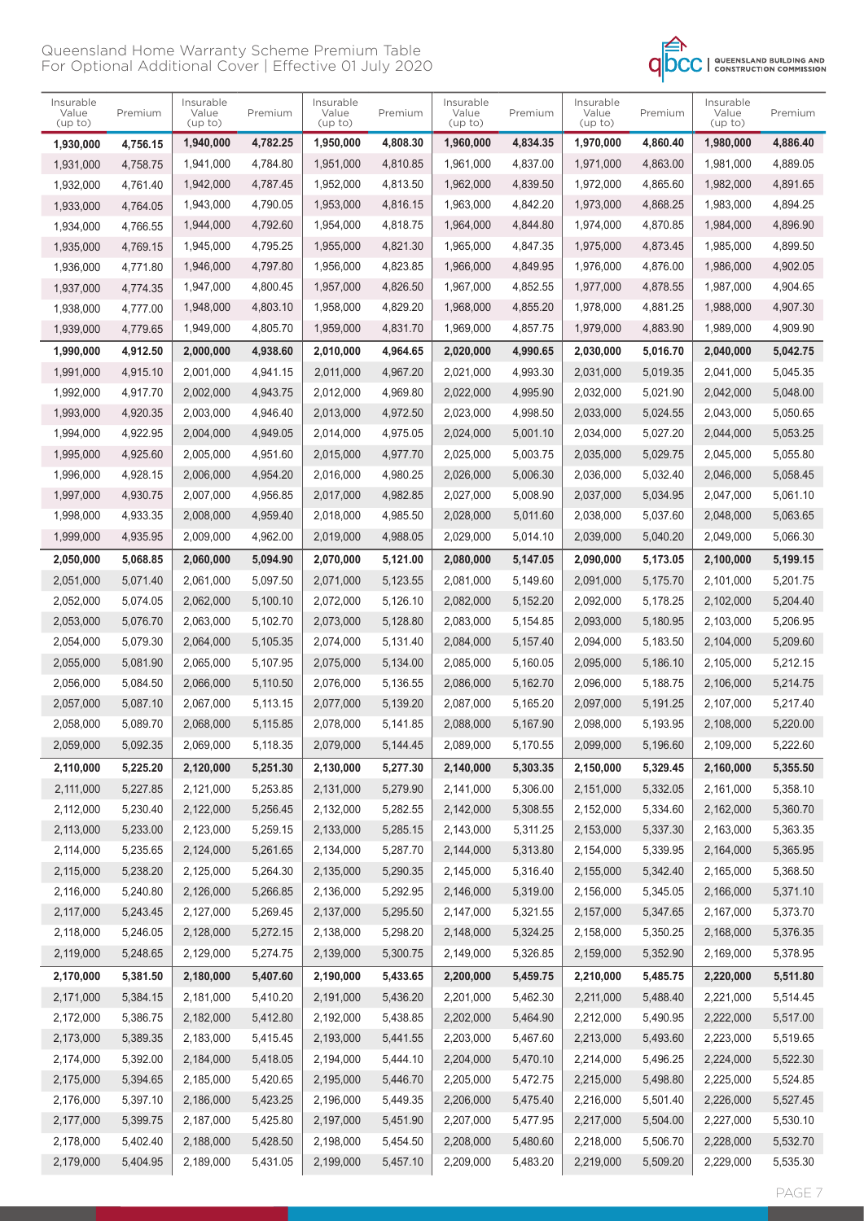

| Insurable<br>Value<br>(up to) | Premium  | Insurable<br>Value<br>(up to) | Premium  | Insurable<br>Value<br>(up to) | Premium  | Insurable<br>Value<br>(up to) | Premium  | Insurable<br>Value<br>(up to) | Premium  | Insurable<br>Value<br>(up to) | Premium  |
|-------------------------------|----------|-------------------------------|----------|-------------------------------|----------|-------------------------------|----------|-------------------------------|----------|-------------------------------|----------|
| 1,930,000                     | 4,756.15 | 1,940,000                     | 4,782.25 | 1,950,000                     | 4,808.30 | 1,960,000                     | 4,834.35 | 1,970,000                     | 4,860.40 | 1,980,000                     | 4,886.40 |
| 1,931,000                     | 4,758.75 | 1,941,000                     | 4,784.80 | 1,951,000                     | 4,810.85 | 1,961,000                     | 4,837.00 | 1,971,000                     | 4,863.00 | 1,981,000                     | 4,889.05 |
| 1,932,000                     | 4,761.40 | 1,942,000                     | 4.787.45 | 1,952,000                     | 4,813.50 | 1,962,000                     | 4,839.50 | 1,972,000                     | 4,865.60 | 1,982,000                     | 4,891.65 |
| 1,933,000                     | 4,764.05 | 1,943,000                     | 4,790.05 | 1,953,000                     | 4,816.15 | 1,963,000                     | 4,842.20 | 1,973,000                     | 4,868.25 | 1,983,000                     | 4,894.25 |
| 1,934,000                     | 4,766.55 | 1,944,000                     | 4,792.60 | 1,954,000                     | 4,818.75 | 1,964,000                     | 4,844.80 | 1,974,000                     | 4,870.85 | 1,984,000                     | 4,896.90 |
| 1,935,000                     | 4,769.15 | 1,945,000                     | 4,795.25 | 1,955,000                     | 4,821.30 | 1,965,000                     | 4,847.35 | 1,975,000                     | 4,873.45 | 1,985,000                     | 4,899.50 |
| 1,936,000                     | 4,771.80 | 1,946,000                     | 4,797.80 | 1,956,000                     | 4,823.85 | 1,966,000                     | 4.849.95 | 1.976.000                     | 4,876.00 | 1,986,000                     | 4,902.05 |
| 1,937,000                     | 4,774.35 | 1,947,000                     | 4,800.45 | 1,957,000                     | 4,826.50 | 1,967,000                     | 4,852.55 | 1,977,000                     | 4,878.55 | 1,987,000                     | 4,904.65 |
| 1,938,000                     | 4,777.00 | 1,948,000                     | 4,803.10 | 1,958,000                     | 4,829.20 | 1,968,000                     | 4,855.20 | 1,978,000                     | 4,881.25 | 1,988,000                     | 4,907.30 |
| 1,939,000                     | 4,779.65 | 1,949,000                     | 4,805.70 | 1,959,000                     | 4,831.70 | 1,969,000                     | 4,857.75 | 1,979,000                     | 4,883.90 | 1,989,000                     | 4,909.90 |
| 1,990,000                     | 4,912.50 | 2,000,000                     | 4,938.60 | 2,010,000                     | 4,964.65 | 2,020,000                     | 4,990.65 | 2,030,000                     | 5,016.70 | 2,040,000                     | 5,042.75 |
| 1,991,000                     | 4,915.10 | 2,001,000                     | 4,941.15 | 2,011,000                     | 4,967.20 | 2,021,000                     | 4,993.30 | 2,031,000                     | 5.019.35 | 2,041,000                     | 5.045.35 |
| 1,992,000                     | 4,917.70 | 2,002,000                     | 4,943.75 | 2,012,000                     | 4,969.80 | 2,022,000                     | 4.995.90 | 2,032,000                     | 5,021.90 | 2,042,000                     | 5,048.00 |
| 1,993,000                     | 4,920.35 | 2,003,000                     | 4,946.40 | 2,013,000                     | 4,972.50 | 2,023,000                     | 4,998.50 | 2,033,000                     | 5,024.55 | 2,043,000                     | 5,050.65 |
| 1,994,000                     | 4,922.95 | 2,004,000                     | 4,949.05 | 2,014,000                     | 4,975.05 | 2,024,000                     | 5,001.10 | 2,034,000                     | 5,027.20 | 2,044,000                     | 5,053.25 |
| 1,995,000                     | 4,925.60 | 2,005,000                     | 4,951.60 | 2,015,000                     | 4,977.70 | 2,025,000                     | 5,003.75 | 2,035,000                     | 5,029.75 | 2,045,000                     | 5,055.80 |
| 1,996,000                     | 4,928.15 | 2,006,000                     | 4.954.20 | 2.016.000                     | 4,980.25 | 2,026,000                     | 5,006.30 | 2,036,000                     | 5,032.40 | 2,046,000                     | 5,058.45 |
| 1,997,000                     | 4,930.75 | 2,007,000                     | 4,956.85 | 2,017,000                     | 4,982.85 | 2,027,000                     | 5,008.90 | 2,037,000                     | 5,034.95 | 2,047,000                     | 5,061.10 |
| 1,998,000                     | 4,933.35 | 2,008,000                     | 4,959.40 | 2,018,000                     | 4,985.50 | 2,028,000                     | 5,011.60 | 2,038,000                     | 5,037.60 | 2,048,000                     | 5,063.65 |
| 1,999,000                     | 4,935.95 | 2,009,000                     | 4,962.00 | 2,019,000                     | 4,988.05 | 2,029,000                     | 5,014.10 | 2,039,000                     | 5,040.20 | 2,049,000                     | 5,066.30 |
| 2,050,000                     | 5,068.85 | 2,060,000                     | 5,094.90 | 2,070,000                     | 5,121.00 | 2,080,000                     | 5,147.05 | 2,090,000                     | 5,173.05 | 2,100,000                     | 5,199.15 |
| 2,051,000                     | 5,071.40 | 2,061,000                     | 5,097.50 | 2,071,000                     | 5,123.55 | 2,081,000                     | 5,149.60 | 2,091,000                     | 5,175.70 | 2,101,000                     | 5,201.75 |
| 2,052,000                     | 5,074.05 | 2,062,000                     | 5,100.10 | 2,072,000                     | 5,126.10 | 2,082,000                     | 5,152.20 | 2,092,000                     | 5,178.25 | 2,102,000                     | 5,204.40 |
| 2,053,000                     | 5,076.70 | 2,063,000                     | 5,102.70 | 2,073,000                     | 5,128.80 | 2,083,000                     | 5,154.85 | 2,093,000                     | 5,180.95 | 2,103,000                     | 5,206.95 |
| 2,054,000                     | 5,079.30 | 2,064,000                     | 5,105.35 | 2,074,000                     | 5,131.40 | 2,084,000                     | 5,157.40 | 2,094,000                     | 5,183.50 | 2,104,000                     | 5,209.60 |
| 2,055,000                     | 5,081.90 | 2,065,000                     | 5,107.95 | 2,075,000                     | 5,134.00 | 2,085,000                     | 5.160.05 | 2,095,000                     | 5,186.10 | 2,105,000                     | 5,212.15 |
| 2,056,000                     | 5,084.50 | 2,066,000                     | 5,110.50 | 2,076,000                     | 5,136.55 | 2,086,000                     | 5,162.70 | 2,096,000                     | 5,188.75 | 2,106,000                     | 5,214.75 |
| 2,057,000                     | 5,087.10 | 2,067,000                     | 5,113.15 | 2,077,000                     | 5,139.20 | 2.087.000                     | 5.165.20 | 2,097,000                     | 5.191.25 | 2,107,000                     | 5,217.40 |
| 2,058,000                     | 5,089.70 | 2,068,000                     | 5,115.85 | 2,078,000                     | 5,141.85 | 2,088,000                     | 5,167.90 | 2,098,000                     | 5,193.95 | 2,108,000                     | 5,220.00 |
| 2,059,000                     | 5,092.35 | 2,069,000                     | 5,118.35 | 2,079,000                     | 5,144.45 | 2,089,000                     | 5,170.55 | 2,099,000                     | 5,196.60 | 2,109,000                     | 5,222.60 |
| 2,110,000                     | 5,225.20 | 2,120,000                     | 5,251.30 | 2,130,000                     | 5,277.30 | 2,140,000                     | 5,303.35 | 2,150,000                     | 5,329.45 | 2,160,000                     | 5,355.50 |
| 2,111,000                     | 5,227.85 | 2,121,000                     | 5,253.85 | 2,131,000                     | 5,279.90 | 2,141,000                     | 5,306.00 | 2,151,000                     | 5,332.05 | 2,161,000                     | 5,358.10 |
| 2,112,000                     | 5,230.40 | 2,122,000                     | 5,256.45 | 2,132,000                     | 5,282.55 | 2,142,000                     | 5,308.55 | 2,152,000                     | 5,334.60 | 2,162,000                     | 5,360.70 |
| 2,113,000                     | 5,233.00 | 2,123,000                     | 5,259.15 | 2,133,000                     | 5,285.15 | 2,143,000                     | 5,311.25 | 2,153,000                     | 5,337.30 | 2,163,000                     | 5,363.35 |
| 2,114,000                     | 5,235.65 | 2,124,000                     | 5,261.65 | 2,134,000                     | 5,287.70 | 2,144,000                     | 5,313.80 | 2,154,000                     | 5,339.95 | 2,164,000                     | 5,365.95 |
| 2,115,000                     | 5,238.20 | 2,125,000                     | 5,264.30 | 2,135,000                     | 5,290.35 | 2,145,000                     | 5,316.40 | 2,155,000                     | 5,342.40 | 2,165,000                     | 5,368.50 |
| 2,116,000                     | 5,240.80 | 2,126,000                     | 5,266.85 | 2,136,000                     | 5,292.95 | 2,146,000                     | 5,319.00 | 2,156,000                     | 5,345.05 | 2,166,000                     | 5,371.10 |
| 2,117,000                     | 5,243.45 | 2,127,000                     | 5,269.45 | 2,137,000                     | 5,295.50 | 2,147,000                     | 5,321.55 | 2,157,000                     | 5,347.65 | 2,167,000                     | 5,373.70 |
| 2,118,000                     | 5,246.05 | 2,128,000                     | 5,272.15 | 2,138,000                     | 5,298.20 | 2,148,000                     | 5,324.25 | 2,158,000                     | 5,350.25 | 2,168,000                     | 5,376.35 |
| 2,119,000                     | 5,248.65 | 2,129,000                     | 5,274.75 | 2,139,000                     | 5,300.75 | 2,149,000                     | 5,326.85 | 2,159,000                     | 5,352.90 | 2,169,000                     | 5,378.95 |
| 2,170,000                     | 5,381.50 | 2,180,000                     | 5,407.60 | 2,190,000                     | 5,433.65 | 2,200,000                     | 5,459.75 | 2,210,000                     | 5,485.75 | 2,220,000                     | 5,511.80 |
| 2,171,000                     | 5,384.15 | 2,181,000                     | 5,410.20 | 2,191,000                     | 5,436.20 | 2,201,000                     | 5,462.30 | 2,211,000                     | 5,488.40 | 2,221,000                     | 5,514.45 |
| 2,172,000                     | 5,386.75 | 2,182,000                     | 5,412.80 | 2,192,000                     | 5,438.85 | 2,202,000                     | 5,464.90 | 2,212,000                     | 5,490.95 | 2,222,000                     | 5,517.00 |
| 2,173,000                     | 5,389.35 | 2,183,000                     | 5,415.45 | 2,193,000                     | 5,441.55 | 2,203,000                     | 5,467.60 | 2,213,000                     | 5,493.60 | 2,223,000                     | 5,519.65 |
| 2,174,000                     | 5,392.00 | 2,184,000                     | 5,418.05 | 2,194,000                     | 5,444.10 | 2,204,000                     | 5,470.10 | 2,214,000                     | 5,496.25 | 2,224,000                     | 5,522.30 |
| 2,175,000                     | 5,394.65 | 2,185,000                     | 5,420.65 | 2,195,000                     | 5,446.70 | 2,205,000                     | 5,472.75 | 2,215,000                     | 5,498.80 | 2,225,000                     | 5,524.85 |
| 2,176,000                     | 5,397.10 | 2,186,000                     | 5,423.25 | 2,196,000                     | 5,449.35 | 2,206,000                     | 5,475.40 | 2,216,000                     | 5,501.40 | 2,226,000                     | 5,527.45 |
| 2,177,000                     | 5,399.75 | 2,187,000                     | 5,425.80 | 2,197,000                     | 5,451.90 | 2,207,000                     | 5,477.95 | 2,217,000                     | 5,504.00 | 2,227,000                     | 5,530.10 |
| 2,178,000                     | 5,402.40 | 2,188,000                     | 5,428.50 | 2,198,000                     | 5,454.50 | 2,208,000                     | 5,480.60 | 2,218,000                     | 5,506.70 | 2,228,000                     | 5,532.70 |
| 2,179,000                     | 5,404.95 | 2,189,000                     | 5,431.05 | 2,199,000                     | 5,457.10 | 2,209,000                     | 5,483.20 | 2,219,000                     | 5,509.20 | 2,229,000                     | 5,535.30 |
|                               |          |                               |          |                               |          |                               |          |                               |          |                               |          |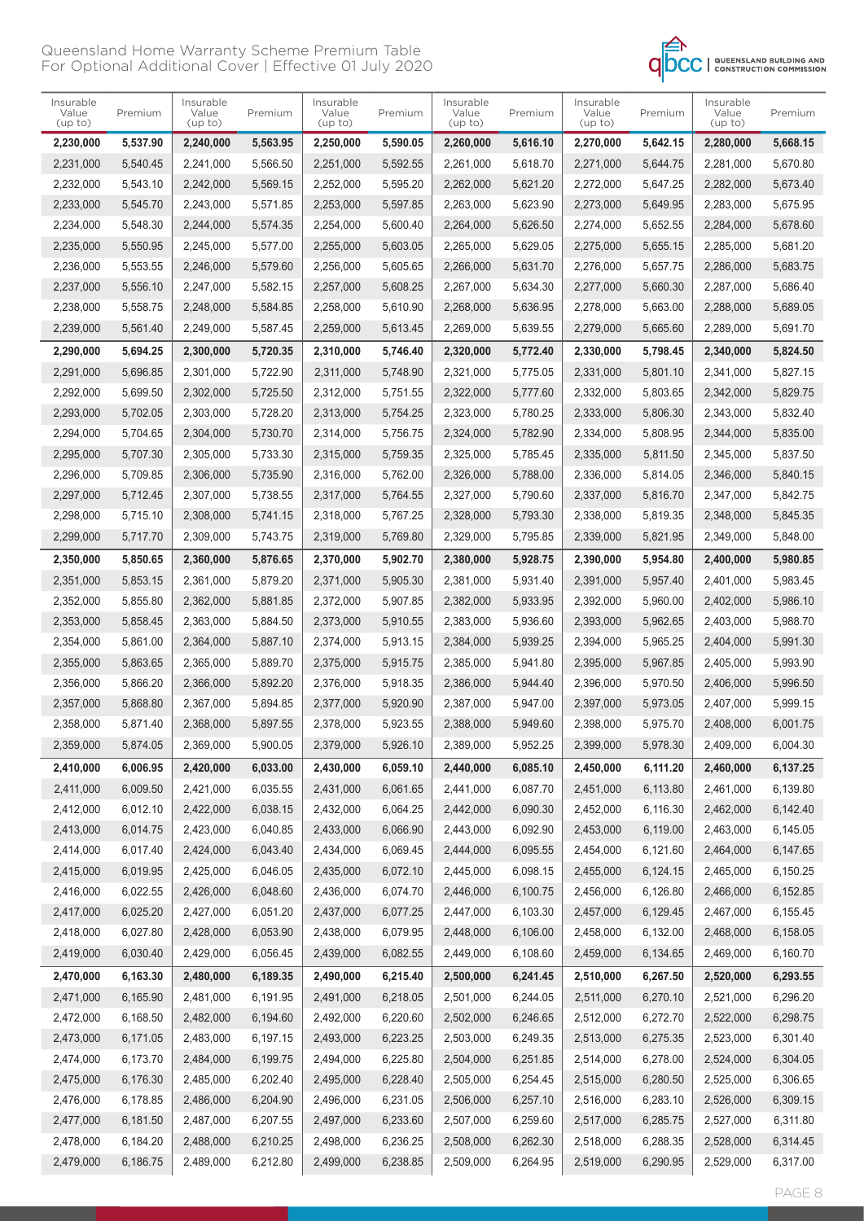

| Insurable<br>Value<br>(up to) | Premium  | Insurable<br>Value<br>(up to) | Premium  | Insurable<br>Value<br>(up to) | Premium  | Insurable<br>Value<br>(up to) | Premium  | Insurable<br>Value<br>(up to) | Premium  | Insurable<br>Value<br>(up to) | Premium  |
|-------------------------------|----------|-------------------------------|----------|-------------------------------|----------|-------------------------------|----------|-------------------------------|----------|-------------------------------|----------|
| 2,230,000                     | 5,537.90 | 2,240,000                     | 5,563.95 | 2,250,000                     | 5,590.05 | 2,260,000                     | 5,616.10 | 2,270,000                     | 5,642.15 | 2,280,000                     | 5,668.15 |
| 2,231,000                     | 5,540.45 | 2,241,000                     | 5,566.50 | 2,251,000                     | 5,592.55 | 2,261,000                     | 5,618.70 | 2,271,000                     | 5,644.75 | 2,281,000                     | 5,670.80 |
| 2,232,000                     | 5,543.10 | 2,242,000                     | 5,569.15 | 2,252,000                     | 5,595.20 | 2,262,000                     | 5,621.20 | 2,272,000                     | 5,647.25 | 2,282,000                     | 5,673.40 |
| 2,233,000                     | 5,545.70 | 2,243,000                     | 5,571.85 | 2,253,000                     | 5,597.85 | 2,263,000                     | 5,623.90 | 2,273,000                     | 5,649.95 | 2,283,000                     | 5,675.95 |
| 2,234,000                     | 5,548.30 | 2,244,000                     | 5,574.35 | 2,254,000                     | 5,600.40 | 2,264,000                     | 5,626.50 | 2,274,000                     | 5,652.55 | 2,284,000                     | 5,678.60 |
| 2,235,000                     | 5,550.95 | 2,245,000                     | 5.577.00 | 2,255,000                     | 5,603.05 | 2,265,000                     | 5,629.05 | 2,275,000                     | 5.655.15 | 2,285,000                     | 5,681.20 |
| 2,236,000                     | 5.553.55 | 2,246,000                     | 5,579.60 | 2,256,000                     | 5,605.65 | 2,266,000                     | 5,631.70 | 2,276,000                     | 5,657.75 | 2,286,000                     | 5,683.75 |
| 2,237,000                     | 5,556.10 | 2,247,000                     | 5,582.15 | 2,257,000                     | 5,608.25 | 2,267,000                     | 5,634.30 | 2,277,000                     | 5,660.30 | 2,287,000                     | 5.686.40 |
| 2,238,000                     | 5,558.75 | 2,248,000                     | 5,584.85 | 2,258,000                     | 5,610.90 | 2,268,000                     | 5,636.95 | 2,278,000                     | 5,663.00 | 2,288,000                     | 5,689.05 |
| 2,239,000                     | 5,561.40 | 2,249,000                     | 5,587.45 | 2,259,000                     | 5,613.45 | 2,269,000                     | 5,639.55 | 2,279,000                     | 5,665.60 | 2,289,000                     | 5,691.70 |
| 2,290,000                     | 5,694.25 | 2,300,000                     | 5,720.35 | 2,310,000                     | 5,746.40 | 2,320,000                     | 5,772.40 | 2,330,000                     | 5,798.45 | 2,340,000                     | 5,824.50 |
| 2,291,000                     | 5,696.85 | 2,301,000                     | 5,722.90 | 2,311,000                     | 5,748.90 | 2,321,000                     | 5,775.05 | 2,331,000                     | 5,801.10 | 2,341,000                     | 5,827.15 |
| 2,292,000                     | 5,699.50 | 2,302,000                     | 5,725.50 | 2,312,000                     | 5,751.55 | 2,322,000                     | 5,777.60 | 2,332,000                     | 5,803.65 | 2,342,000                     | 5.829.75 |
| 2,293,000                     | 5.702.05 | 2.303.000                     | 5.728.20 | 2,313,000                     | 5,754.25 | 2,323,000                     | 5,780.25 | 2,333,000                     | 5.806.30 | 2,343,000                     | 5,832.40 |
| 2,294,000                     | 5,704.65 | 2,304,000                     | 5,730.70 | 2,314,000                     | 5,756.75 | 2,324,000                     | 5,782.90 | 2,334,000                     | 5,808.95 | 2,344,000                     | 5,835.00 |
| 2,295,000                     | 5.707.30 | 2,305,000                     | 5,733.30 | 2,315,000                     | 5,759.35 | 2,325,000                     | 5,785.45 | 2,335,000                     | 5,811.50 | 2,345,000                     | 5,837.50 |
| 2,296,000                     | 5,709.85 | 2,306,000                     | 5,735.90 | 2,316,000                     | 5,762.00 | 2,326,000                     | 5,788.00 | 2,336,000                     | 5,814.05 | 2,346,000                     | 5,840.15 |
| 2,297,000                     | 5,712.45 | 2,307,000                     | 5,738.55 | 2,317,000                     | 5.764.55 | 2,327,000                     | 5,790.60 | 2,337,000                     | 5.816.70 | 2,347,000                     | 5,842.75 |
| 2,298,000                     | 5,715.10 | 2,308,000                     | 5,741.15 | 2,318,000                     | 5,767.25 | 2,328,000                     | 5,793.30 | 2,338,000                     | 5,819.35 | 2,348,000                     | 5,845.35 |
| 2,299,000                     | 5,717.70 | 2,309,000                     | 5,743.75 | 2,319,000                     | 5,769.80 | 2,329,000                     | 5,795.85 | 2,339,000                     | 5,821.95 | 2,349,000                     | 5,848.00 |
| 2,350,000                     | 5,850.65 | 2,360,000                     | 5,876.65 | 2,370,000                     | 5,902.70 | 2,380,000                     | 5,928.75 | 2,390,000                     | 5,954.80 | 2,400,000                     | 5,980.85 |
| 2,351,000                     | 5,853.15 | 2,361,000                     | 5,879.20 | 2,371,000                     | 5,905.30 | 2,381,000                     | 5,931.40 | 2,391,000                     | 5,957.40 | 2,401,000                     | 5,983.45 |
| 2,352,000                     | 5,855.80 | 2,362,000                     | 5,881.85 | 2,372,000                     | 5,907.85 | 2,382,000                     | 5,933.95 | 2,392,000                     | 5,960.00 | 2,402,000                     | 5,986.10 |
| 2,353,000                     | 5,858.45 | 2,363,000                     | 5,884.50 | 2,373,000                     | 5,910.55 | 2,383,000                     | 5,936.60 | 2,393,000                     | 5,962.65 | 2,403,000                     | 5,988.70 |
| 2,354,000                     | 5,861.00 | 2,364,000                     | 5,887.10 | 2,374,000                     | 5,913.15 | 2,384,000                     | 5,939.25 | 2,394,000                     | 5,965.25 | 2,404,000                     | 5,991.30 |
| 2,355,000                     | 5,863.65 | 2,365,000                     | 5,889.70 | 2,375,000                     | 5,915.75 | 2.385.000                     | 5,941.80 | 2,395,000                     | 5.967.85 | 2,405,000                     | 5,993.90 |
| 2,356,000                     | 5,866.20 | 2,366,000                     | 5,892.20 | 2,376,000                     | 5,918.35 | 2,386,000                     | 5,944.40 | 2,396,000                     | 5,970.50 | 2,406,000                     | 5,996.50 |
| 2,357,000                     | 5.868.80 | 2,367,000                     | 5,894.85 | 2,377,000                     | 5,920.90 | 2,387,000                     | 5,947.00 | 2,397,000                     | 5.973.05 | 2,407,000                     | 5.999.15 |
| 2,358,000                     | 5,871.40 | 2,368,000                     | 5,897.55 | 2,378,000                     | 5,923.55 | 2,388,000                     | 5,949.60 | 2,398,000                     | 5,975.70 | 2,408,000                     | 6.001.75 |
| 2,359,000                     | 5,874.05 | 2,369,000                     | 5,900.05 | 2,379,000                     | 5,926.10 | 2,389,000                     | 5,952.25 | 2,399,000                     | 5,978.30 | 2,409,000                     | 6,004.30 |
| 2,410,000                     | 6,006.95 | 2,420,000                     | 6,033.00 | 2,430,000                     | 6,059.10 | 2,440,000                     | 6,085.10 | 2,450,000                     | 6,111.20 | 2,460,000                     | 6,137.25 |
| 2,411,000                     | 6,009.50 | 2,421,000                     | 6,035.55 | 2,431,000                     | 6,061.65 | 2,441,000                     | 6,087.70 | 2,451,000                     | 6,113.80 | 2,461,000                     | 6,139.80 |
| 2,412,000                     | 6,012.10 | 2,422,000                     | 6,038.15 | 2,432,000                     | 6,064.25 | 2,442,000                     | 6,090.30 | 2,452,000                     | 6,116.30 | 2,462,000                     | 6,142.40 |
| 2,413,000                     | 6,014.75 | 2,423,000                     | 6,040.85 | 2,433,000                     | 6,066.90 | 2,443,000                     | 6,092.90 | 2,453,000                     | 6,119.00 | 2,463,000                     | 6,145.05 |
| 2,414,000                     | 6,017.40 | 2,424,000                     | 6,043.40 | 2,434,000                     | 6,069.45 | 2,444,000                     | 6,095.55 | 2,454,000                     | 6,121.60 | 2,464,000                     | 6,147.65 |
| 2,415,000                     | 6,019.95 | 2,425,000                     | 6,046.05 | 2,435,000                     | 6,072.10 | 2,445,000                     | 6,098.15 | 2,455,000                     | 6,124.15 | 2,465,000                     | 6,150.25 |
| 2,416,000                     | 6,022.55 | 2,426,000                     | 6,048.60 | 2,436,000                     | 6,074.70 | 2,446,000                     | 6,100.75 | 2,456,000                     | 6,126.80 | 2,466,000                     | 6,152.85 |
| 2,417,000                     | 6,025.20 | 2,427,000                     | 6,051.20 | 2,437,000                     | 6,077.25 | 2,447,000                     | 6,103.30 | 2,457,000                     | 6,129.45 | 2,467,000                     | 6,155.45 |
| 2,418,000                     | 6,027.80 | 2,428,000                     | 6,053.90 | 2,438,000                     | 6,079.95 | 2,448,000                     | 6,106.00 | 2,458,000                     | 6,132.00 | 2,468,000                     | 6,158.05 |
| 2,419,000                     | 6,030.40 | 2,429,000                     | 6,056.45 | 2,439,000                     | 6,082.55 | 2,449,000                     | 6,108.60 | 2,459,000                     | 6,134.65 | 2,469,000                     | 6,160.70 |
|                               |          |                               |          |                               |          |                               |          |                               |          |                               |          |
| 2,470,000                     | 6,163.30 | 2,480,000                     | 6,189.35 | 2,490,000                     | 6,215.40 | 2,500,000                     | 6,241.45 | 2,510,000                     | 6,267.50 | 2,520,000                     | 6,293.55 |
| 2,471,000                     | 6,165.90 | 2,481,000                     | 6,191.95 | 2,491,000                     | 6,218.05 | 2,501,000                     | 6,244.05 | 2,511,000                     | 6,270.10 | 2,521,000                     | 6,296.20 |
| 2,472,000                     | 6,168.50 | 2,482,000                     | 6,194.60 | 2,492,000                     | 6,220.60 | 2,502,000                     | 6,246.65 | 2,512,000                     | 6,272.70 | 2,522,000                     | 6,298.75 |
| 2,473,000                     | 6,171.05 | 2,483,000                     | 6,197.15 | 2,493,000                     | 6,223.25 | 2,503,000                     | 6,249.35 | 2,513,000                     | 6,275.35 | 2,523,000                     | 6,301.40 |
| 2,474,000                     | 6,173.70 | 2,484,000                     | 6,199.75 | 2,494,000                     | 6,225.80 | 2,504,000                     | 6,251.85 | 2,514,000                     | 6,278.00 | 2,524,000                     | 6,304.05 |
| 2,475,000                     | 6,176.30 | 2,485,000                     | 6,202.40 | 2,495,000                     | 6,228.40 | 2,505,000                     | 6,254.45 | 2,515,000                     | 6,280.50 | 2,525,000                     | 6,306.65 |
| 2,476,000                     | 6,178.85 | 2,486,000                     | 6,204.90 | 2,496,000                     | 6,231.05 | 2,506,000                     | 6,257.10 | 2,516,000                     | 6,283.10 | 2,526,000                     | 6,309.15 |
| 2,477,000                     | 6,181.50 | 2,487,000                     | 6,207.55 | 2,497,000                     | 6,233.60 | 2,507,000                     | 6,259.60 | 2,517,000                     | 6,285.75 | 2,527,000                     | 6,311.80 |
| 2,478,000                     | 6,184.20 | 2,488,000                     | 6,210.25 | 2,498,000                     | 6,236.25 | 2,508,000                     | 6,262.30 | 2,518,000                     | 6,288.35 | 2,528,000                     | 6,314.45 |
| 2,479,000                     | 6,186.75 | 2,489,000                     | 6,212.80 | 2,499,000                     | 6,238.85 | 2,509,000                     | 6,264.95 | 2,519,000                     | 6,290.95 | 2,529,000                     | 6,317.00 |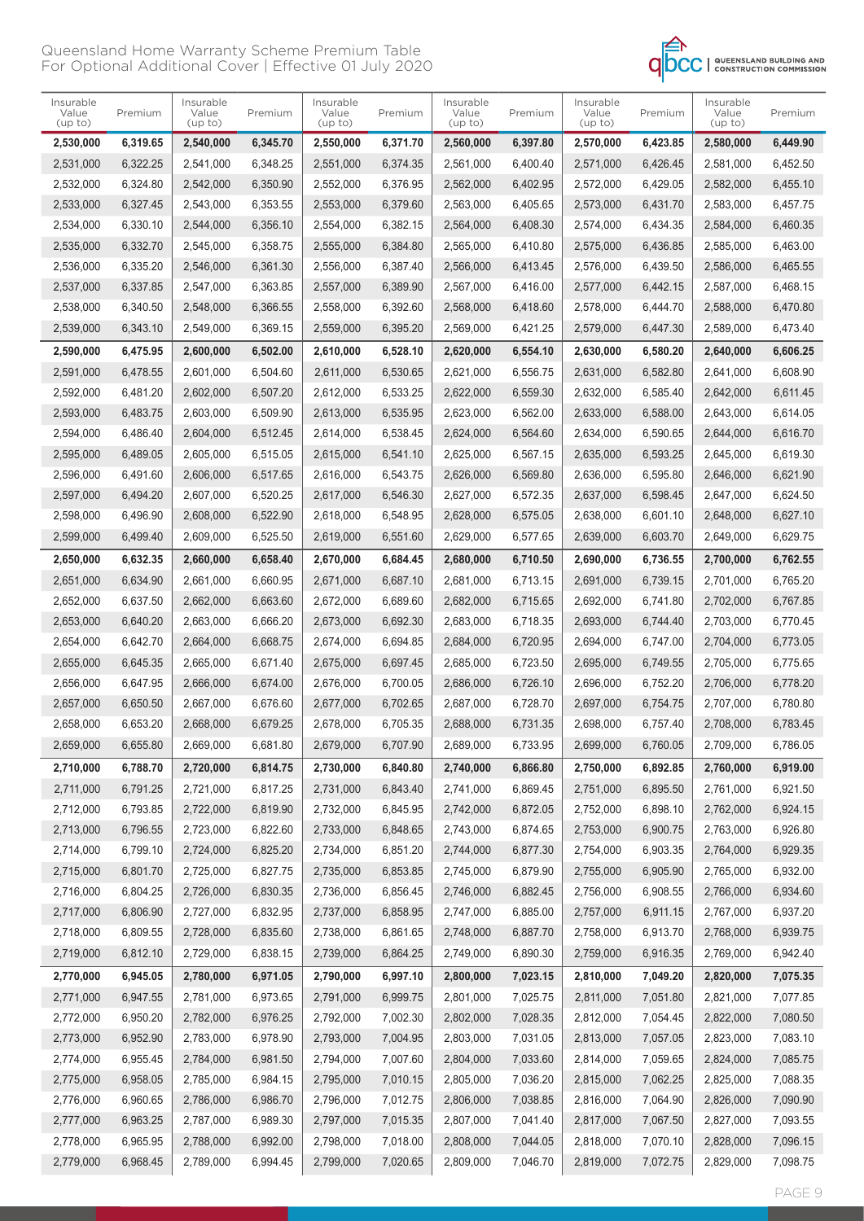

| 6,345.70<br>2,550,000<br>6,371.70<br>2,560,000<br>6,397.80<br>2,570,000<br>6,423.85<br>2,530,000<br>6,319.65<br>2,540,000<br>2,580,000<br>6,449.90<br>6.322.25<br>6,348.25<br>2,551,000<br>6,374.35<br>6.426.45<br>2.531.000<br>2.541.000<br>2,561,000<br>6,400.40<br>2.571.000<br>2,581,000<br>6,452.50<br>2,532,000<br>6,324.80<br>6,350.90<br>2,552,000<br>6,376.95<br>6,429.05<br>2,542,000<br>2,562,000<br>6,402.95<br>2,572,000<br>2,582,000<br>6,455.10<br>2,543,000<br>6,353.55<br>6,379.60<br>2,533,000<br>6,327.45<br>2,553,000<br>2,563,000<br>6,405.65<br>2,573,000<br>6,431.70<br>2,583,000<br>6,457.75<br>2,554,000<br>6,382.15<br>2,534,000<br>6,330.10<br>2,544,000<br>6,356.10<br>2,564,000<br>6,408.30<br>2,574,000<br>6,434.35<br>2,584,000<br>6,460.35<br>6,332.70<br>6,358.75<br>2,555,000<br>6,384.80<br>2,565,000<br>6.463.00<br>2,535,000<br>2,545,000<br>6.410.80<br>2.575.000<br>6,436.85<br>2,585,000<br>6,361.30<br>2,556,000<br>6,387.40<br>2,536,000<br>6,335.20<br>2,546,000<br>2,566,000<br>6,413.45<br>2,576,000<br>6,439.50<br>2,586,000<br>6,465.55<br>2,537,000<br>6,337.85<br>2,547,000<br>6,363.85<br>2,557,000<br>6,389.90<br>2,567,000<br>6,416.00<br>2,577,000<br>6,442.15<br>2,587,000<br>6,468.15<br>6,340.50<br>6,366.55<br>2,558,000<br>6,392.60<br>2,568,000<br>2,538,000<br>2,548,000<br>6,418.60<br>2,578,000<br>6,444.70<br>2,588,000<br>6,470.80<br>2,539,000<br>6,343.10<br>2,549,000<br>6,369.15<br>2,559,000<br>6,395.20<br>2,569,000<br>6,421.25<br>2,579,000<br>6,447.30<br>2,589,000<br>6,473.40<br>2,600,000<br>6,502.00<br>2,610,000<br>6,528.10<br>2,620,000<br>2,630,000<br>6,580.20<br>6,606.25<br>2,590,000<br>6,475.95<br>6,554.10<br>2,640,000<br>2,591,000<br>6,504.60<br>2,611,000<br>6.530.65<br>6,582.80<br>6,478.55<br>2,601,000<br>2,621,000<br>6.556.75<br>2,631,000<br>2,641,000<br>6,608.90<br>6,507.20<br>2,612,000<br>6,533.25<br>2,632,000<br>6,585.40<br>2,592,000<br>6.481.20<br>2,602,000<br>2,622,000<br>6,559.30<br>2,642,000<br>6,611.45<br>6,509.90<br>2,593,000<br>6,483.75<br>2,603,000<br>2,613,000<br>6,535.95<br>2,623,000<br>6,562.00<br>2,633,000<br>6,588.00<br>2,643,000<br>6,614.05 |  |
|----------------------------------------------------------------------------------------------------------------------------------------------------------------------------------------------------------------------------------------------------------------------------------------------------------------------------------------------------------------------------------------------------------------------------------------------------------------------------------------------------------------------------------------------------------------------------------------------------------------------------------------------------------------------------------------------------------------------------------------------------------------------------------------------------------------------------------------------------------------------------------------------------------------------------------------------------------------------------------------------------------------------------------------------------------------------------------------------------------------------------------------------------------------------------------------------------------------------------------------------------------------------------------------------------------------------------------------------------------------------------------------------------------------------------------------------------------------------------------------------------------------------------------------------------------------------------------------------------------------------------------------------------------------------------------------------------------------------------------------------------------------------------------------------------------------------------------------------------------------------------------------------------------------------------------------------------------------------------------------------------------------------------------------------------------------------------------------------------------------------------------------------------------------------------------|--|
|                                                                                                                                                                                                                                                                                                                                                                                                                                                                                                                                                                                                                                                                                                                                                                                                                                                                                                                                                                                                                                                                                                                                                                                                                                                                                                                                                                                                                                                                                                                                                                                                                                                                                                                                                                                                                                                                                                                                                                                                                                                                                                                                                                                  |  |
|                                                                                                                                                                                                                                                                                                                                                                                                                                                                                                                                                                                                                                                                                                                                                                                                                                                                                                                                                                                                                                                                                                                                                                                                                                                                                                                                                                                                                                                                                                                                                                                                                                                                                                                                                                                                                                                                                                                                                                                                                                                                                                                                                                                  |  |
|                                                                                                                                                                                                                                                                                                                                                                                                                                                                                                                                                                                                                                                                                                                                                                                                                                                                                                                                                                                                                                                                                                                                                                                                                                                                                                                                                                                                                                                                                                                                                                                                                                                                                                                                                                                                                                                                                                                                                                                                                                                                                                                                                                                  |  |
|                                                                                                                                                                                                                                                                                                                                                                                                                                                                                                                                                                                                                                                                                                                                                                                                                                                                                                                                                                                                                                                                                                                                                                                                                                                                                                                                                                                                                                                                                                                                                                                                                                                                                                                                                                                                                                                                                                                                                                                                                                                                                                                                                                                  |  |
|                                                                                                                                                                                                                                                                                                                                                                                                                                                                                                                                                                                                                                                                                                                                                                                                                                                                                                                                                                                                                                                                                                                                                                                                                                                                                                                                                                                                                                                                                                                                                                                                                                                                                                                                                                                                                                                                                                                                                                                                                                                                                                                                                                                  |  |
|                                                                                                                                                                                                                                                                                                                                                                                                                                                                                                                                                                                                                                                                                                                                                                                                                                                                                                                                                                                                                                                                                                                                                                                                                                                                                                                                                                                                                                                                                                                                                                                                                                                                                                                                                                                                                                                                                                                                                                                                                                                                                                                                                                                  |  |
|                                                                                                                                                                                                                                                                                                                                                                                                                                                                                                                                                                                                                                                                                                                                                                                                                                                                                                                                                                                                                                                                                                                                                                                                                                                                                                                                                                                                                                                                                                                                                                                                                                                                                                                                                                                                                                                                                                                                                                                                                                                                                                                                                                                  |  |
|                                                                                                                                                                                                                                                                                                                                                                                                                                                                                                                                                                                                                                                                                                                                                                                                                                                                                                                                                                                                                                                                                                                                                                                                                                                                                                                                                                                                                                                                                                                                                                                                                                                                                                                                                                                                                                                                                                                                                                                                                                                                                                                                                                                  |  |
|                                                                                                                                                                                                                                                                                                                                                                                                                                                                                                                                                                                                                                                                                                                                                                                                                                                                                                                                                                                                                                                                                                                                                                                                                                                                                                                                                                                                                                                                                                                                                                                                                                                                                                                                                                                                                                                                                                                                                                                                                                                                                                                                                                                  |  |
|                                                                                                                                                                                                                                                                                                                                                                                                                                                                                                                                                                                                                                                                                                                                                                                                                                                                                                                                                                                                                                                                                                                                                                                                                                                                                                                                                                                                                                                                                                                                                                                                                                                                                                                                                                                                                                                                                                                                                                                                                                                                                                                                                                                  |  |
|                                                                                                                                                                                                                                                                                                                                                                                                                                                                                                                                                                                                                                                                                                                                                                                                                                                                                                                                                                                                                                                                                                                                                                                                                                                                                                                                                                                                                                                                                                                                                                                                                                                                                                                                                                                                                                                                                                                                                                                                                                                                                                                                                                                  |  |
|                                                                                                                                                                                                                                                                                                                                                                                                                                                                                                                                                                                                                                                                                                                                                                                                                                                                                                                                                                                                                                                                                                                                                                                                                                                                                                                                                                                                                                                                                                                                                                                                                                                                                                                                                                                                                                                                                                                                                                                                                                                                                                                                                                                  |  |
|                                                                                                                                                                                                                                                                                                                                                                                                                                                                                                                                                                                                                                                                                                                                                                                                                                                                                                                                                                                                                                                                                                                                                                                                                                                                                                                                                                                                                                                                                                                                                                                                                                                                                                                                                                                                                                                                                                                                                                                                                                                                                                                                                                                  |  |
|                                                                                                                                                                                                                                                                                                                                                                                                                                                                                                                                                                                                                                                                                                                                                                                                                                                                                                                                                                                                                                                                                                                                                                                                                                                                                                                                                                                                                                                                                                                                                                                                                                                                                                                                                                                                                                                                                                                                                                                                                                                                                                                                                                                  |  |
| 6,486.40<br>6,538.45<br>2,624,000<br>2,634,000<br>2,594,000<br>2,604,000<br>6,512.45<br>2,614,000<br>6,564.60<br>6,590.65<br>2,644,000<br>6,616.70                                                                                                                                                                                                                                                                                                                                                                                                                                                                                                                                                                                                                                                                                                                                                                                                                                                                                                                                                                                                                                                                                                                                                                                                                                                                                                                                                                                                                                                                                                                                                                                                                                                                                                                                                                                                                                                                                                                                                                                                                               |  |
| 6,515.05<br>6,541.10<br>2,625,000<br>2,595,000<br>6,489.05<br>2,605,000<br>2,615,000<br>6,567.15<br>2,635,000<br>6,593.25<br>2,645,000<br>6,619.30                                                                                                                                                                                                                                                                                                                                                                                                                                                                                                                                                                                                                                                                                                                                                                                                                                                                                                                                                                                                                                                                                                                                                                                                                                                                                                                                                                                                                                                                                                                                                                                                                                                                                                                                                                                                                                                                                                                                                                                                                               |  |
| 2,596,000<br>6,491.60<br>2,616,000<br>6.543.75<br>2,606,000<br>6,517.65<br>2,626,000<br>6,569.80<br>2,636,000<br>6,595.80<br>2,646,000<br>6,621.90                                                                                                                                                                                                                                                                                                                                                                                                                                                                                                                                                                                                                                                                                                                                                                                                                                                                                                                                                                                                                                                                                                                                                                                                                                                                                                                                                                                                                                                                                                                                                                                                                                                                                                                                                                                                                                                                                                                                                                                                                               |  |
| 2,597,000<br>6,494.20<br>2,607,000<br>6,520.25<br>2,617,000<br>6.546.30<br>2,627,000<br>6.572.35<br>2,637,000<br>6,598.45<br>2.647.000<br>6,624.50                                                                                                                                                                                                                                                                                                                                                                                                                                                                                                                                                                                                                                                                                                                                                                                                                                                                                                                                                                                                                                                                                                                                                                                                                                                                                                                                                                                                                                                                                                                                                                                                                                                                                                                                                                                                                                                                                                                                                                                                                               |  |
| 6,496.90<br>6,522.90<br>2,618,000<br>6,548.95<br>2,628,000<br>6,601.10<br>6,627.10<br>2,598,000<br>2,608,000<br>6,575.05<br>2,638,000<br>2,648,000                                                                                                                                                                                                                                                                                                                                                                                                                                                                                                                                                                                                                                                                                                                                                                                                                                                                                                                                                                                                                                                                                                                                                                                                                                                                                                                                                                                                                                                                                                                                                                                                                                                                                                                                                                                                                                                                                                                                                                                                                               |  |
| 6,525.50<br>6,629.75<br>2,599,000<br>6,499.40<br>2,609,000<br>2,619,000<br>6,551.60<br>2,629,000<br>6,577.65<br>2,639,000<br>6,603.70<br>2,649,000                                                                                                                                                                                                                                                                                                                                                                                                                                                                                                                                                                                                                                                                                                                                                                                                                                                                                                                                                                                                                                                                                                                                                                                                                                                                                                                                                                                                                                                                                                                                                                                                                                                                                                                                                                                                                                                                                                                                                                                                                               |  |
|                                                                                                                                                                                                                                                                                                                                                                                                                                                                                                                                                                                                                                                                                                                                                                                                                                                                                                                                                                                                                                                                                                                                                                                                                                                                                                                                                                                                                                                                                                                                                                                                                                                                                                                                                                                                                                                                                                                                                                                                                                                                                                                                                                                  |  |
| 6,632.35<br>6,658.40<br>2,670,000<br>6,684.45<br>2,680,000<br>6,710.50<br>6,762.55<br>2,650,000<br>2,660,000<br>2,690,000<br>6,736.55<br>2,700,000                                                                                                                                                                                                                                                                                                                                                                                                                                                                                                                                                                                                                                                                                                                                                                                                                                                                                                                                                                                                                                                                                                                                                                                                                                                                                                                                                                                                                                                                                                                                                                                                                                                                                                                                                                                                                                                                                                                                                                                                                               |  |
| 2,651,000<br>6,634.90<br>2,661,000<br>6,660.95<br>2,671,000<br>6,687.10<br>2,681,000<br>6,713.15<br>2,691,000<br>6,739.15<br>2,701,000<br>6,765.20                                                                                                                                                                                                                                                                                                                                                                                                                                                                                                                                                                                                                                                                                                                                                                                                                                                                                                                                                                                                                                                                                                                                                                                                                                                                                                                                                                                                                                                                                                                                                                                                                                                                                                                                                                                                                                                                                                                                                                                                                               |  |
| 2,652,000<br>6,637.50<br>6,663.60<br>2,672,000<br>6,689.60<br>2,692,000<br>2,662,000<br>2,682,000<br>6,715.65<br>6,741.80<br>2,702,000<br>6,767.85                                                                                                                                                                                                                                                                                                                                                                                                                                                                                                                                                                                                                                                                                                                                                                                                                                                                                                                                                                                                                                                                                                                                                                                                                                                                                                                                                                                                                                                                                                                                                                                                                                                                                                                                                                                                                                                                                                                                                                                                                               |  |
| 2,653,000<br>6,640.20<br>2,663,000<br>6,666.20<br>2,673,000<br>6,692.30<br>2,683,000<br>6,718.35<br>2,693,000<br>6,744.40<br>2,703,000<br>6,770.45                                                                                                                                                                                                                                                                                                                                                                                                                                                                                                                                                                                                                                                                                                                                                                                                                                                                                                                                                                                                                                                                                                                                                                                                                                                                                                                                                                                                                                                                                                                                                                                                                                                                                                                                                                                                                                                                                                                                                                                                                               |  |
| 6,642.70<br>6,668.75<br>2,674,000<br>6,694.85<br>2,684,000<br>2,654,000<br>2,664,000<br>6,720.95<br>2,694,000<br>6,747.00<br>2,704,000<br>6,773.05                                                                                                                                                                                                                                                                                                                                                                                                                                                                                                                                                                                                                                                                                                                                                                                                                                                                                                                                                                                                                                                                                                                                                                                                                                                                                                                                                                                                                                                                                                                                                                                                                                                                                                                                                                                                                                                                                                                                                                                                                               |  |
| 6.671.40<br>6.697.45<br>2,655,000<br>6.645.35<br>2,665,000<br>2,675,000<br>2,685,000<br>6.723.50<br>2,695,000<br>6,749.55<br>2,705,000<br>6,775.65                                                                                                                                                                                                                                                                                                                                                                                                                                                                                                                                                                                                                                                                                                                                                                                                                                                                                                                                                                                                                                                                                                                                                                                                                                                                                                                                                                                                                                                                                                                                                                                                                                                                                                                                                                                                                                                                                                                                                                                                                               |  |
| 2,656,000<br>6,647.95<br>2,666,000<br>6,674.00<br>2,676,000<br>6,700.05<br>2,686,000<br>6,726.10<br>2,696,000<br>6,752.20<br>2,706,000<br>6,778.20                                                                                                                                                                                                                                                                                                                                                                                                                                                                                                                                                                                                                                                                                                                                                                                                                                                                                                                                                                                                                                                                                                                                                                                                                                                                                                                                                                                                                                                                                                                                                                                                                                                                                                                                                                                                                                                                                                                                                                                                                               |  |
| 2,657,000<br>6,650.50<br>2,667,000<br>6,676.60<br>2,677,000<br>6,702.65<br>2,687,000<br>6,728.70<br>2,697,000<br>6,754.75<br>2,707,000<br>6,780.80                                                                                                                                                                                                                                                                                                                                                                                                                                                                                                                                                                                                                                                                                                                                                                                                                                                                                                                                                                                                                                                                                                                                                                                                                                                                                                                                                                                                                                                                                                                                                                                                                                                                                                                                                                                                                                                                                                                                                                                                                               |  |
| 6,653.20<br>6,705.35<br>2,658,000<br>2,668,000<br>6,679.25<br>2,678,000<br>2,688,000<br>6.731.35<br>2,698,000<br>6,757.40<br>2,708,000<br>6,783.45                                                                                                                                                                                                                                                                                                                                                                                                                                                                                                                                                                                                                                                                                                                                                                                                                                                                                                                                                                                                                                                                                                                                                                                                                                                                                                                                                                                                                                                                                                                                                                                                                                                                                                                                                                                                                                                                                                                                                                                                                               |  |
| 2,679,000<br>2,659,000<br>6,655.80<br>2,669,000<br>6,681.80<br>6,707.90<br>2,689,000<br>6,733.95<br>2,699,000<br>6,760.05<br>2,709,000<br>6,786.05                                                                                                                                                                                                                                                                                                                                                                                                                                                                                                                                                                                                                                                                                                                                                                                                                                                                                                                                                                                                                                                                                                                                                                                                                                                                                                                                                                                                                                                                                                                                                                                                                                                                                                                                                                                                                                                                                                                                                                                                                               |  |
| 6,919.00<br>2,710,000<br>6,788.70<br>2,720,000<br>6,814.75<br>2,730,000<br>6,840.80<br>2,740,000<br>6,866.80<br>2,750,000<br>6,892.85<br>2,760,000                                                                                                                                                                                                                                                                                                                                                                                                                                                                                                                                                                                                                                                                                                                                                                                                                                                                                                                                                                                                                                                                                                                                                                                                                                                                                                                                                                                                                                                                                                                                                                                                                                                                                                                                                                                                                                                                                                                                                                                                                               |  |
| 2,711,000<br>6,791.25<br>2,721,000<br>6,817.25<br>2,731,000<br>6,843.40<br>2,741,000<br>6,869.45<br>6,895.50<br>2,761,000<br>6,921.50<br>2,751,000                                                                                                                                                                                                                                                                                                                                                                                                                                                                                                                                                                                                                                                                                                                                                                                                                                                                                                                                                                                                                                                                                                                                                                                                                                                                                                                                                                                                                                                                                                                                                                                                                                                                                                                                                                                                                                                                                                                                                                                                                               |  |
| 2,712,000<br>6,793.85<br>2,722,000<br>6,819.90<br>2,732,000<br>6,845.95<br>6,872.05<br>6,898.10<br>2,762,000<br>6,924.15<br>2,742,000<br>2,752,000                                                                                                                                                                                                                                                                                                                                                                                                                                                                                                                                                                                                                                                                                                                                                                                                                                                                                                                                                                                                                                                                                                                                                                                                                                                                                                                                                                                                                                                                                                                                                                                                                                                                                                                                                                                                                                                                                                                                                                                                                               |  |
| 6,796.55<br>2,723,000<br>6,822.60<br>2,733,000<br>6,848.65<br>2,743,000<br>6,874.65<br>2,753,000<br>6,900.75<br>2,763,000<br>6,926.80<br>2,713,000                                                                                                                                                                                                                                                                                                                                                                                                                                                                                                                                                                                                                                                                                                                                                                                                                                                                                                                                                                                                                                                                                                                                                                                                                                                                                                                                                                                                                                                                                                                                                                                                                                                                                                                                                                                                                                                                                                                                                                                                                               |  |
| 2,714,000<br>6,799.10<br>2,724,000<br>6,825.20<br>2,734,000<br>6,851.20<br>2,744,000<br>6,877.30<br>2,754,000<br>6,903.35<br>2,764,000<br>6,929.35                                                                                                                                                                                                                                                                                                                                                                                                                                                                                                                                                                                                                                                                                                                                                                                                                                                                                                                                                                                                                                                                                                                                                                                                                                                                                                                                                                                                                                                                                                                                                                                                                                                                                                                                                                                                                                                                                                                                                                                                                               |  |
| 6,827.75<br>6,932.00<br>2,715,000<br>6,801.70<br>2,725,000<br>2,735,000<br>6,853.85<br>2,745,000<br>6,879.90<br>2,755,000<br>6,905.90<br>2,765,000                                                                                                                                                                                                                                                                                                                                                                                                                                                                                                                                                                                                                                                                                                                                                                                                                                                                                                                                                                                                                                                                                                                                                                                                                                                                                                                                                                                                                                                                                                                                                                                                                                                                                                                                                                                                                                                                                                                                                                                                                               |  |
| 2,716,000<br>6,804.25<br>2,726,000<br>6,830.35<br>2,736,000<br>6,856.45<br>6,882.45<br>2,756,000<br>6,908.55<br>2,766,000<br>6,934.60<br>2,746,000                                                                                                                                                                                                                                                                                                                                                                                                                                                                                                                                                                                                                                                                                                                                                                                                                                                                                                                                                                                                                                                                                                                                                                                                                                                                                                                                                                                                                                                                                                                                                                                                                                                                                                                                                                                                                                                                                                                                                                                                                               |  |
| 6,806.90<br>2,727,000<br>6,832.95<br>2,737,000<br>6,858.95<br>2,747,000<br>6,885.00<br>6,911.15<br>2,767,000<br>6,937.20<br>2,717,000<br>2,757,000                                                                                                                                                                                                                                                                                                                                                                                                                                                                                                                                                                                                                                                                                                                                                                                                                                                                                                                                                                                                                                                                                                                                                                                                                                                                                                                                                                                                                                                                                                                                                                                                                                                                                                                                                                                                                                                                                                                                                                                                                               |  |
| 2,718,000<br>6,809.55<br>2,728,000<br>6,835.60<br>2,738,000<br>6,861.65<br>2,748,000<br>6,887.70<br>6,913.70<br>2,768,000<br>6,939.75<br>2,758,000                                                                                                                                                                                                                                                                                                                                                                                                                                                                                                                                                                                                                                                                                                                                                                                                                                                                                                                                                                                                                                                                                                                                                                                                                                                                                                                                                                                                                                                                                                                                                                                                                                                                                                                                                                                                                                                                                                                                                                                                                               |  |
| 6,838.15<br>2,719,000<br>2,729,000<br>2,739,000<br>6,864.25<br>2,749,000<br>6,890.30<br>2,769,000<br>6,942.40<br>6,812.10<br>2,759,000<br>6,916.35                                                                                                                                                                                                                                                                                                                                                                                                                                                                                                                                                                                                                                                                                                                                                                                                                                                                                                                                                                                                                                                                                                                                                                                                                                                                                                                                                                                                                                                                                                                                                                                                                                                                                                                                                                                                                                                                                                                                                                                                                               |  |
| 2,770,000<br>6,945.05<br>2,780,000<br>6,971.05<br>2,790,000<br>6,997.10<br>2,800,000<br>7,023.15<br>2,810,000<br>7,049.20<br>2,820,000<br>7,075.35                                                                                                                                                                                                                                                                                                                                                                                                                                                                                                                                                                                                                                                                                                                                                                                                                                                                                                                                                                                                                                                                                                                                                                                                                                                                                                                                                                                                                                                                                                                                                                                                                                                                                                                                                                                                                                                                                                                                                                                                                               |  |
| 2,771,000<br>6,947.55<br>2,781,000<br>6,973.65<br>2,791,000<br>6,999.75<br>2,801,000<br>7,025.75<br>7,051.80<br>2,821,000<br>7,077.85<br>2,811,000                                                                                                                                                                                                                                                                                                                                                                                                                                                                                                                                                                                                                                                                                                                                                                                                                                                                                                                                                                                                                                                                                                                                                                                                                                                                                                                                                                                                                                                                                                                                                                                                                                                                                                                                                                                                                                                                                                                                                                                                                               |  |
| 2,772,000<br>6,950.20<br>2,782,000<br>6,976.25<br>2,792,000<br>7,002.30<br>2,802,000<br>7,028.35<br>2,812,000<br>7,054.45<br>2,822,000<br>7,080.50                                                                                                                                                                                                                                                                                                                                                                                                                                                                                                                                                                                                                                                                                                                                                                                                                                                                                                                                                                                                                                                                                                                                                                                                                                                                                                                                                                                                                                                                                                                                                                                                                                                                                                                                                                                                                                                                                                                                                                                                                               |  |
| 6,952.90<br>2,783,000<br>6,978.90<br>2,793,000<br>7,004.95<br>2,803,000<br>7,031.05<br>2,813,000<br>2,823,000<br>7,083.10<br>2,773,000<br>7,057.05                                                                                                                                                                                                                                                                                                                                                                                                                                                                                                                                                                                                                                                                                                                                                                                                                                                                                                                                                                                                                                                                                                                                                                                                                                                                                                                                                                                                                                                                                                                                                                                                                                                                                                                                                                                                                                                                                                                                                                                                                               |  |
| 6,981.50<br>2,774,000<br>6,955.45<br>2,784,000<br>2,794,000<br>7,007.60<br>2,804,000<br>7,033.60<br>2,814,000<br>7,059.65<br>2,824,000<br>7,085.75                                                                                                                                                                                                                                                                                                                                                                                                                                                                                                                                                                                                                                                                                                                                                                                                                                                                                                                                                                                                                                                                                                                                                                                                                                                                                                                                                                                                                                                                                                                                                                                                                                                                                                                                                                                                                                                                                                                                                                                                                               |  |
| 6,984.15<br>2,775,000<br>6,958.05<br>2,785,000<br>2,795,000<br>7,010.15<br>2,805,000<br>7,036.20<br>7,062.25<br>2,825,000<br>7,088.35<br>2,815,000                                                                                                                                                                                                                                                                                                                                                                                                                                                                                                                                                                                                                                                                                                                                                                                                                                                                                                                                                                                                                                                                                                                                                                                                                                                                                                                                                                                                                                                                                                                                                                                                                                                                                                                                                                                                                                                                                                                                                                                                                               |  |
| 2,776,000<br>6,960.65<br>2,786,000<br>6,986.70<br>2,796,000<br>7,012.75<br>7,038.85<br>7,064.90<br>7,090.90<br>2,806,000<br>2,816,000<br>2,826,000                                                                                                                                                                                                                                                                                                                                                                                                                                                                                                                                                                                                                                                                                                                                                                                                                                                                                                                                                                                                                                                                                                                                                                                                                                                                                                                                                                                                                                                                                                                                                                                                                                                                                                                                                                                                                                                                                                                                                                                                                               |  |
| 6,963.25<br>2,787,000<br>6,989.30<br>2,797,000<br>7,015.35<br>2,807,000<br>7,041.40<br>7,067.50<br>2,827,000<br>7,093.55<br>2,777,000<br>2,817,000                                                                                                                                                                                                                                                                                                                                                                                                                                                                                                                                                                                                                                                                                                                                                                                                                                                                                                                                                                                                                                                                                                                                                                                                                                                                                                                                                                                                                                                                                                                                                                                                                                                                                                                                                                                                                                                                                                                                                                                                                               |  |
| 2,778,000<br>6,965.95<br>2,788,000<br>6,992.00<br>2,798,000<br>7,018.00<br>2,808,000<br>7,044.05<br>2,818,000<br>7,070.10<br>2,828,000<br>7,096.15                                                                                                                                                                                                                                                                                                                                                                                                                                                                                                                                                                                                                                                                                                                                                                                                                                                                                                                                                                                                                                                                                                                                                                                                                                                                                                                                                                                                                                                                                                                                                                                                                                                                                                                                                                                                                                                                                                                                                                                                                               |  |
| 6,994.45<br>7,098.75<br>2,779,000<br>6,968.45<br>2,789,000<br>2,799,000<br>7,020.65<br>2,809,000<br>7,046.70<br>2,819,000<br>2,829,000<br>7,072.75                                                                                                                                                                                                                                                                                                                                                                                                                                                                                                                                                                                                                                                                                                                                                                                                                                                                                                                                                                                                                                                                                                                                                                                                                                                                                                                                                                                                                                                                                                                                                                                                                                                                                                                                                                                                                                                                                                                                                                                                                               |  |